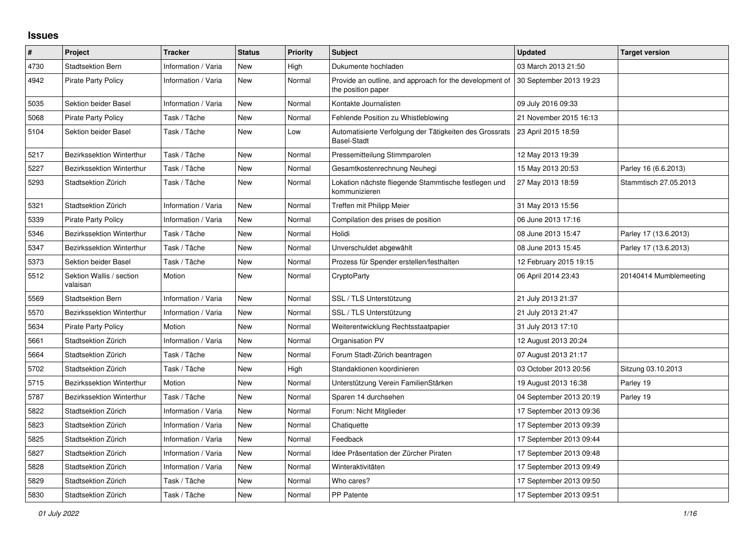## **Issues**

| $\pmb{\#}$ | Project                              | <b>Tracker</b>      | <b>Status</b> | <b>Priority</b> | <b>Subject</b>                                                                | <b>Updated</b>          | <b>Target version</b>  |
|------------|--------------------------------------|---------------------|---------------|-----------------|-------------------------------------------------------------------------------|-------------------------|------------------------|
| 4730       | <b>Stadtsektion Bern</b>             | Information / Varia | <b>New</b>    | High            | Dukumente hochladen                                                           | 03 March 2013 21:50     |                        |
| 4942       | <b>Pirate Party Policy</b>           | Information / Varia | New           | Normal          | Provide an outline, and approach for the development of<br>the position paper | 30 September 2013 19:23 |                        |
| 5035       | <b>Sektion beider Basel</b>          | Information / Varia | <b>New</b>    | Normal          | Kontakte Journalisten                                                         | 09 July 2016 09:33      |                        |
| 5068       | <b>Pirate Party Policy</b>           | Task / Tâche        | <b>New</b>    | Normal          | Fehlende Position zu Whistleblowing                                           | 21 November 2015 16:13  |                        |
| 5104       | <b>Sektion beider Basel</b>          | Task / Tâche        | New           | Low             | Automatisierte Verfolgung der Tätigkeiten des Grossrats<br><b>Basel-Stadt</b> | 23 April 2015 18:59     |                        |
| 5217       | Bezirkssektion Winterthur            | Task / Tâche        | New           | Normal          | Pressemitteilung Stimmparolen                                                 | 12 May 2013 19:39       |                        |
| 5227       | Bezirkssektion Winterthur            | Task / Tâche        | New           | Normal          | Gesamtkostenrechnung Neuhegi                                                  | 15 May 2013 20:53       | Parley 16 (6.6.2013)   |
| 5293       | Stadtsektion Zürich                  | Task / Tâche        | <b>New</b>    | Normal          | Lokation nächste fliegende Stammtische festlegen und<br>kommunizieren         | 27 May 2013 18:59       | Stammtisch 27.05.2013  |
| 5321       | Stadtsektion Zürich                  | Information / Varia | New           | Normal          | Treffen mit Philipp Meier                                                     | 31 May 2013 15:56       |                        |
| 5339       | <b>Pirate Party Policy</b>           | Information / Varia | <b>New</b>    | Normal          | Compilation des prises de position                                            | 06 June 2013 17:16      |                        |
| 5346       | Bezirkssektion Winterthur            | Task / Tâche        | New           | Normal          | Holidi                                                                        | 08 June 2013 15:47      | Parley 17 (13.6.2013)  |
| 5347       | <b>Bezirkssektion Winterthur</b>     | Task / Tâche        | New           | Normal          | Unverschuldet abgewählt                                                       | 08 June 2013 15:45      | Parley 17 (13.6.2013)  |
| 5373       | <b>Sektion beider Basel</b>          | Task / Tâche        | <b>New</b>    | Normal          | Prozess für Spender erstellen/festhalten                                      | 12 February 2015 19:15  |                        |
| 5512       | Sektion Wallis / section<br>valaisan | Motion              | New           | Normal          | CryptoParty                                                                   | 06 April 2014 23:43     | 20140414 Mumblemeeting |
| 5569       | <b>Stadtsektion Bern</b>             | Information / Varia | <b>New</b>    | Normal          | SSL / TLS Unterstützung                                                       | 21 July 2013 21:37      |                        |
| 5570       | Bezirkssektion Winterthur            | Information / Varia | New           | Normal          | SSL / TLS Unterstützung                                                       | 21 July 2013 21:47      |                        |
| 5634       | <b>Pirate Party Policy</b>           | Motion              | New           | Normal          | Weiterentwicklung Rechtsstaatpapier                                           | 31 July 2013 17:10      |                        |
| 5661       | Stadtsektion Zürich                  | Information / Varia | New           | Normal          | Organisation PV                                                               | 12 August 2013 20:24    |                        |
| 5664       | Stadtsektion Zürich                  | Task / Tâche        | <b>New</b>    | Normal          | Forum Stadt-Zürich beantragen                                                 | 07 August 2013 21:17    |                        |
| 5702       | Stadtsektion Zürich                  | Task / Tâche        | New           | High            | Standaktionen koordinieren                                                    | 03 October 2013 20:56   | Sitzung 03.10.2013     |
| 5715       | <b>Bezirkssektion Winterthur</b>     | Motion              | <b>New</b>    | Normal          | Unterstützung Verein FamilienStärken                                          | 19 August 2013 16:38    | Parley 19              |
| 5787       | Bezirkssektion Winterthur            | Task / Tâche        | New           | Normal          | Sparen 14 durchsehen                                                          | 04 September 2013 20:19 | Parley 19              |
| 5822       | Stadtsektion Zürich                  | Information / Varia | <b>New</b>    | Normal          | Forum: Nicht Mitglieder                                                       | 17 September 2013 09:36 |                        |
| 5823       | Stadtsektion Zürich                  | Information / Varia | <b>New</b>    | Normal          | Chatiquette                                                                   | 17 September 2013 09:39 |                        |
| 5825       | Stadtsektion Zürich                  | Information / Varia | <b>New</b>    | Normal          | Feedback                                                                      | 17 September 2013 09:44 |                        |
| 5827       | Stadtsektion Zürich                  | Information / Varia | New           | Normal          | Idee Präsentation der Zürcher Piraten                                         | 17 September 2013 09:48 |                        |
| 5828       | Stadtsektion Zürich                  | Information / Varia | <b>New</b>    | Normal          | Winteraktivitäten                                                             | 17 September 2013 09:49 |                        |
| 5829       | Stadtsektion Zürich                  | Task / Tâche        | <b>New</b>    | Normal          | Who cares?                                                                    | 17 September 2013 09:50 |                        |
| 5830       | Stadtsektion Zürich                  | Task / Tâche        | <b>New</b>    | Normal          | PP Patente                                                                    | 17 September 2013 09:51 |                        |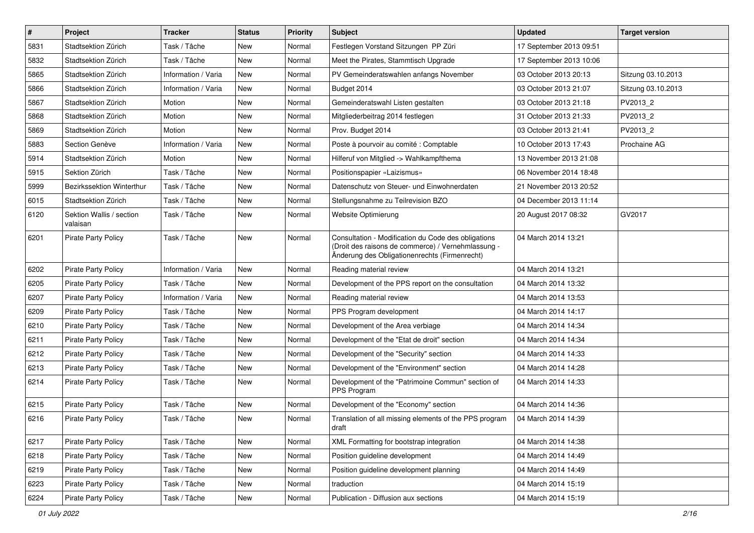| $\#$ | Project                              | <b>Tracker</b>      | <b>Status</b> | <b>Priority</b> | <b>Subject</b>                                                                                                                                             | <b>Updated</b>          | <b>Target version</b> |
|------|--------------------------------------|---------------------|---------------|-----------------|------------------------------------------------------------------------------------------------------------------------------------------------------------|-------------------------|-----------------------|
| 5831 | Stadtsektion Zürich                  | Task / Tâche        | New           | Normal          | Festlegen Vorstand Sitzungen PP Züri                                                                                                                       | 17 September 2013 09:51 |                       |
| 5832 | Stadtsektion Zürich                  | Task / Tâche        | <b>New</b>    | Normal          | Meet the Pirates, Stammtisch Upgrade                                                                                                                       | 17 September 2013 10:06 |                       |
| 5865 | Stadtsektion Zürich                  | Information / Varia | New           | Normal          | PV Gemeinderatswahlen anfangs November                                                                                                                     | 03 October 2013 20:13   | Sitzung 03.10.2013    |
| 5866 | Stadtsektion Zürich                  | Information / Varia | <b>New</b>    | Normal          | Budget 2014                                                                                                                                                | 03 October 2013 21:07   | Sitzung 03.10.2013    |
| 5867 | Stadtsektion Zürich                  | Motion              | <b>New</b>    | Normal          | Gemeinderatswahl Listen gestalten                                                                                                                          | 03 October 2013 21:18   | PV2013_2              |
| 5868 | Stadtsektion Zürich                  | Motion              | New           | Normal          | Mitgliederbeitrag 2014 festlegen                                                                                                                           | 31 October 2013 21:33   | PV2013 2              |
| 5869 | Stadtsektion Zürich                  | Motion              | <b>New</b>    | Normal          | Prov. Budget 2014                                                                                                                                          | 03 October 2013 21:41   | PV2013_2              |
| 5883 | Section Genève                       | Information / Varia | New           | Normal          | Poste à pourvoir au comité : Comptable                                                                                                                     | 10 October 2013 17:43   | Prochaine AG          |
| 5914 | Stadtsektion Zürich                  | Motion              | <b>New</b>    | Normal          | Hilferuf von Mitglied -> Wahlkampfthema                                                                                                                    | 13 November 2013 21:08  |                       |
| 5915 | Sektion Zürich                       | Task / Tâche        | <b>New</b>    | Normal          | Positionspapier «Laizismus»                                                                                                                                | 06 November 2014 18:48  |                       |
| 5999 | Bezirkssektion Winterthur            | Task / Tâche        | New           | Normal          | Datenschutz von Steuer- und Einwohnerdaten                                                                                                                 | 21 November 2013 20:52  |                       |
| 6015 | Stadtsektion Zürich                  | Task / Tâche        | New           | Normal          | Stellungsnahme zu Teilrevision BZO                                                                                                                         | 04 December 2013 11:14  |                       |
| 6120 | Sektion Wallis / section<br>valaisan | Task / Tâche        | <b>New</b>    | Normal          | Website Optimierung                                                                                                                                        | 20 August 2017 08:32    | GV2017                |
| 6201 | <b>Pirate Party Policy</b>           | Task / Tâche        | <b>New</b>    | Normal          | Consultation - Modification du Code des obligations<br>(Droit des raisons de commerce) / Vernehmlassung -<br>Änderung des Obligationenrechts (Firmenrecht) | 04 March 2014 13:21     |                       |
| 6202 | <b>Pirate Party Policy</b>           | Information / Varia | <b>New</b>    | Normal          | Reading material review                                                                                                                                    | 04 March 2014 13:21     |                       |
| 6205 | <b>Pirate Party Policy</b>           | Task / Tâche        | New           | Normal          | Development of the PPS report on the consultation                                                                                                          | 04 March 2014 13:32     |                       |
| 6207 | <b>Pirate Party Policy</b>           | Information / Varia | <b>New</b>    | Normal          | Reading material review                                                                                                                                    | 04 March 2014 13:53     |                       |
| 6209 | <b>Pirate Party Policy</b>           | Task / Tâche        | <b>New</b>    | Normal          | PPS Program development                                                                                                                                    | 04 March 2014 14:17     |                       |
| 6210 | <b>Pirate Party Policy</b>           | Task / Tâche        | New           | Normal          | Development of the Area verbiage                                                                                                                           | 04 March 2014 14:34     |                       |
| 6211 | <b>Pirate Party Policy</b>           | Task / Tâche        | <b>New</b>    | Normal          | Development of the "Etat de droit" section                                                                                                                 | 04 March 2014 14:34     |                       |
| 6212 | <b>Pirate Party Policy</b>           | Task / Tâche        | New           | Normal          | Development of the "Security" section                                                                                                                      | 04 March 2014 14:33     |                       |
| 6213 | Pirate Party Policy                  | Task / Tâche        | <b>New</b>    | Normal          | Development of the "Environment" section                                                                                                                   | 04 March 2014 14:28     |                       |
| 6214 | <b>Pirate Party Policy</b>           | Task / Tâche        | <b>New</b>    | Normal          | Development of the "Patrimoine Commun" section of<br>PPS Program                                                                                           | 04 March 2014 14:33     |                       |
| 6215 | <b>Pirate Party Policy</b>           | Task / Tâche        | New           | Normal          | Development of the "Economy" section                                                                                                                       | 04 March 2014 14:36     |                       |
| 6216 | Pirate Party Policy                  | Task / Tâche        | <b>New</b>    | Normal          | Translation of all missing elements of the PPS program<br>draft                                                                                            | 04 March 2014 14:39     |                       |
| 6217 | <b>Pirate Party Policy</b>           | Task / Tâche        | New           | Normal          | XML Formatting for bootstrap integration                                                                                                                   | 04 March 2014 14:38     |                       |
| 6218 | <b>Pirate Party Policy</b>           | Task / Tâche        | New           | Normal          | Position guideline development                                                                                                                             | 04 March 2014 14:49     |                       |
| 6219 | Pirate Party Policy                  | Task / Tâche        | New           | Normal          | Position guideline development planning                                                                                                                    | 04 March 2014 14:49     |                       |
| 6223 | Pirate Party Policy                  | Task / Tâche        | New           | Normal          | traduction                                                                                                                                                 | 04 March 2014 15:19     |                       |
| 6224 | Pirate Party Policy                  | Task / Tâche        | New           | Normal          | Publication - Diffusion aux sections                                                                                                                       | 04 March 2014 15:19     |                       |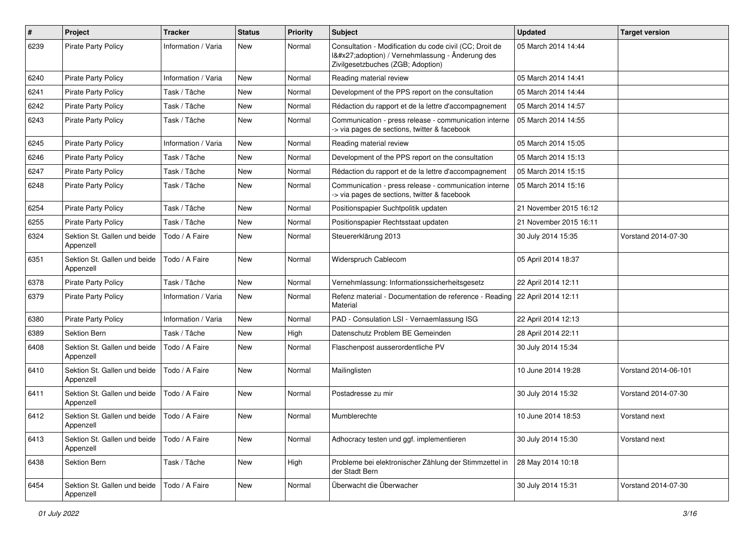| $\#$ | Project                                   | <b>Tracker</b>      | <b>Status</b> | <b>Priority</b> | <b>Subject</b>                                                                                                                              | <b>Updated</b>         | <b>Target version</b> |
|------|-------------------------------------------|---------------------|---------------|-----------------|---------------------------------------------------------------------------------------------------------------------------------------------|------------------------|-----------------------|
| 6239 | <b>Pirate Party Policy</b>                | Information / Varia | New           | Normal          | Consultation - Modification du code civil (CC; Droit de<br>I'adoption) / Vernehmlassung - Änderung des<br>Zivilgesetzbuches (ZGB; Adoption) | 05 March 2014 14:44    |                       |
| 6240 | <b>Pirate Party Policy</b>                | Information / Varia | <b>New</b>    | Normal          | Reading material review                                                                                                                     | 05 March 2014 14:41    |                       |
| 6241 | <b>Pirate Party Policy</b>                | Task / Tâche        | New           | Normal          | Development of the PPS report on the consultation                                                                                           | 05 March 2014 14:44    |                       |
| 6242 | <b>Pirate Party Policy</b>                | Task / Tâche        | New           | Normal          | Rédaction du rapport et de la lettre d'accompagnement                                                                                       | 05 March 2014 14:57    |                       |
| 6243 | <b>Pirate Party Policy</b>                | Task / Tâche        | <b>New</b>    | Normal          | Communication - press release - communication interne<br>-> via pages de sections, twitter & facebook                                       | 05 March 2014 14:55    |                       |
| 6245 | Pirate Party Policy                       | Information / Varia | <b>New</b>    | Normal          | Reading material review                                                                                                                     | 05 March 2014 15:05    |                       |
| 6246 | <b>Pirate Party Policy</b>                | Task / Tâche        | <b>New</b>    | Normal          | Development of the PPS report on the consultation                                                                                           | 05 March 2014 15:13    |                       |
| 6247 | <b>Pirate Party Policy</b>                | Task / Tâche        | New           | Normal          | Rédaction du rapport et de la lettre d'accompagnement                                                                                       | 05 March 2014 15:15    |                       |
| 6248 | <b>Pirate Party Policy</b>                | Task / Tâche        | New           | Normal          | Communication - press release - communication interne<br>-> via pages de sections, twitter & facebook                                       | 05 March 2014 15:16    |                       |
| 6254 | <b>Pirate Party Policy</b>                | Task / Tâche        | New           | Normal          | Positionspapier Suchtpolitik updaten                                                                                                        | 21 November 2015 16:12 |                       |
| 6255 | <b>Pirate Party Policy</b>                | Task / Tâche        | <b>New</b>    | Normal          | Positionspapier Rechtsstaat updaten                                                                                                         | 21 November 2015 16:11 |                       |
| 6324 | Sektion St. Gallen und beide<br>Appenzell | Todo / A Faire      | New           | Normal          | Steuererklärung 2013                                                                                                                        | 30 July 2014 15:35     | Vorstand 2014-07-30   |
| 6351 | Sektion St. Gallen und beide<br>Appenzell | Todo / A Faire      | <b>New</b>    | Normal          | Widerspruch Cablecom                                                                                                                        | 05 April 2014 18:37    |                       |
| 6378 | <b>Pirate Party Policy</b>                | Task / Tâche        | <b>New</b>    | Normal          | Vernehmlassung: Informationssicherheitsgesetz                                                                                               | 22 April 2014 12:11    |                       |
| 6379 | <b>Pirate Party Policy</b>                | Information / Varia | <b>New</b>    | Normal          | Refenz material - Documentation de reference - Reading   22 April 2014 12:11<br>Material                                                    |                        |                       |
| 6380 | <b>Pirate Party Policy</b>                | Information / Varia | <b>New</b>    | Normal          | PAD - Consulation LSI - Vernaemlassung ISG                                                                                                  | 22 April 2014 12:13    |                       |
| 6389 | Sektion Bern                              | Task / Tâche        | New           | High            | Datenschutz Problem BE Gemeinden                                                                                                            | 28 April 2014 22:11    |                       |
| 6408 | Sektion St. Gallen und beide<br>Appenzell | Todo / A Faire      | New           | Normal          | Flaschenpost ausserordentliche PV                                                                                                           | 30 July 2014 15:34     |                       |
| 6410 | Sektion St. Gallen und beide<br>Appenzell | Todo / A Faire      | <b>New</b>    | Normal          | Mailinglisten                                                                                                                               | 10 June 2014 19:28     | Vorstand 2014-06-101  |
| 6411 | Sektion St. Gallen und beide<br>Appenzell | Todo / A Faire      | <b>New</b>    | Normal          | Postadresse zu mir                                                                                                                          | 30 July 2014 15:32     | Vorstand 2014-07-30   |
| 6412 | Sektion St. Gallen und beide<br>Appenzell | Todo / A Faire      | New           | Normal          | Mumblerechte                                                                                                                                | 10 June 2014 18:53     | Vorstand next         |
| 6413 | Sektion St. Gallen und beide<br>Appenzell | Todo / A Faire      | New           | Normal          | Adhocracy testen und ggf. implementieren                                                                                                    | 30 July 2014 15:30     | Vorstand next         |
| 6438 | Sektion Bern                              | Task / Tâche        | New           | High            | Probleme bei elektronischer Zählung der Stimmzettel in<br>der Stadt Bern                                                                    | 28 May 2014 10:18      |                       |
| 6454 | Sektion St. Gallen und beide<br>Appenzell | Todo / A Faire      | New           | Normal          | Überwacht die Überwacher                                                                                                                    | 30 July 2014 15:31     | Vorstand 2014-07-30   |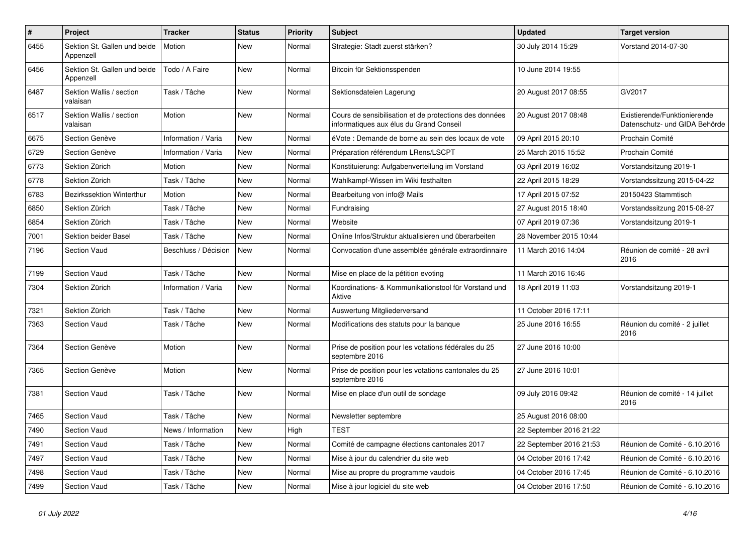| $\pmb{\#}$ | Project                                   | <b>Tracker</b>       | <b>Status</b> | <b>Priority</b> | <b>Subject</b>                                                                                    | <b>Updated</b>          | <b>Target version</b>                                         |
|------------|-------------------------------------------|----------------------|---------------|-----------------|---------------------------------------------------------------------------------------------------|-------------------------|---------------------------------------------------------------|
| 6455       | Sektion St. Gallen und beide<br>Appenzell | Motion               | New           | Normal          | Strategie: Stadt zuerst stärken?                                                                  | 30 July 2014 15:29      | Vorstand 2014-07-30                                           |
| 6456       | Sektion St. Gallen und beide<br>Appenzell | Todo / A Faire       | <b>New</b>    | Normal          | Bitcoin für Sektionsspenden                                                                       | 10 June 2014 19:55      |                                                               |
| 6487       | Sektion Wallis / section<br>valaisan      | Task / Tâche         | <b>New</b>    | Normal          | Sektionsdateien Lagerung                                                                          | 20 August 2017 08:55    | GV2017                                                        |
| 6517       | Sektion Wallis / section<br>valaisan      | Motion               | <b>New</b>    | Normal          | Cours de sensibilisation et de protections des données<br>informatiques aux élus du Grand Conseil | 20 August 2017 08:48    | Existierende/Funktionierende<br>Datenschutz- und GIDA Behörde |
| 6675       | Section Genève                            | Information / Varia  | New           | Normal          | éVote : Demande de borne au sein des locaux de vote                                               | 09 April 2015 20:10     | Prochain Comité                                               |
| 6729       | Section Genève                            | Information / Varia  | New           | Normal          | Préparation référendum LRens/LSCPT                                                                | 25 March 2015 15:52     | Prochain Comité                                               |
| 6773       | Sektion Zürich                            | Motion               | <b>New</b>    | Normal          | Konstituierung: Aufgabenverteilung im Vorstand                                                    | 03 April 2019 16:02     | Vorstandsitzung 2019-1                                        |
| 6778       | Sektion Zürich                            | Task / Tâche         | <b>New</b>    | Normal          | Wahlkampf-Wissen im Wiki festhalten                                                               | 22 April 2015 18:29     | Vorstandssitzung 2015-04-22                                   |
| 6783       | <b>Bezirkssektion Winterthur</b>          | Motion               | New           | Normal          | Bearbeitung von info@ Mails                                                                       | 17 April 2015 07:52     | 20150423 Stammtisch                                           |
| 6850       | Sektion Zürich                            | Task / Tâche         | <b>New</b>    | Normal          | Fundraising                                                                                       | 27 August 2015 18:40    | Vorstandssitzung 2015-08-27                                   |
| 6854       | Sektion Zürich                            | Task / Tâche         | <b>New</b>    | Normal          | Website                                                                                           | 07 April 2019 07:36     | Vorstandsitzung 2019-1                                        |
| 7001       | <b>Sektion beider Basel</b>               | Task / Tâche         | <b>New</b>    | Normal          | Online Infos/Struktur aktualisieren und überarbeiten                                              | 28 November 2015 10:44  |                                                               |
| 7196       | <b>Section Vaud</b>                       | Beschluss / Décision | <b>New</b>    | Normal          | Convocation d'une assemblée générale extraordinnaire                                              | 11 March 2016 14:04     | Réunion de comité - 28 avril<br>2016                          |
| 7199       | <b>Section Vaud</b>                       | Task / Tâche         | <b>New</b>    | Normal          | Mise en place de la pétition evoting                                                              | 11 March 2016 16:46     |                                                               |
| 7304       | Sektion Zürich                            | Information / Varia  | <b>New</b>    | Normal          | Koordinations- & Kommunikationstool für Vorstand und<br>Aktive                                    | 18 April 2019 11:03     | Vorstandsitzung 2019-1                                        |
| 7321       | Sektion Zürich                            | Task / Tâche         | <b>New</b>    | Normal          | Auswertung Mitgliederversand                                                                      | 11 October 2016 17:11   |                                                               |
| 7363       | <b>Section Vaud</b>                       | Task / Tâche         | <b>New</b>    | Normal          | Modifications des statuts pour la banque                                                          | 25 June 2016 16:55      | Réunion du comité - 2 juillet<br>2016                         |
| 7364       | Section Genève                            | Motion               | New           | Normal          | Prise de position pour les votations fédérales du 25<br>septembre 2016                            | 27 June 2016 10:00      |                                                               |
| 7365       | Section Genève                            | Motion               | New           | Normal          | Prise de position pour les votations cantonales du 25<br>septembre 2016                           | 27 June 2016 10:01      |                                                               |
| 7381       | <b>Section Vaud</b>                       | Task / Tâche         | <b>New</b>    | Normal          | Mise en place d'un outil de sondage                                                               | 09 July 2016 09:42      | Réunion de comité - 14 juillet<br>2016                        |
| 7465       | <b>Section Vaud</b>                       | Task / Tâche         | <b>New</b>    | Normal          | Newsletter septembre                                                                              | 25 August 2016 08:00    |                                                               |
| 7490       | <b>Section Vaud</b>                       | News / Information   | <b>New</b>    | High            | <b>TEST</b>                                                                                       | 22 September 2016 21:22 |                                                               |
| 7491       | <b>Section Vaud</b>                       | Task / Tâche         | New           | Normal          | Comité de campagne élections cantonales 2017                                                      | 22 September 2016 21:53 | Réunion de Comité - 6.10.2016                                 |
| 7497       | <b>Section Vaud</b>                       | Task / Tâche         | <b>New</b>    | Normal          | Mise à jour du calendrier du site web                                                             | 04 October 2016 17:42   | Réunion de Comité - 6.10.2016                                 |
| 7498       | <b>Section Vaud</b>                       | Task / Tâche         | <b>New</b>    | Normal          | Mise au propre du programme vaudois                                                               | 04 October 2016 17:45   | Réunion de Comité - 6.10.2016                                 |
| 7499       | Section Vaud                              | Task / Tâche         | <b>New</b>    | Normal          | Mise à jour logiciel du site web                                                                  | 04 October 2016 17:50   | Réunion de Comité - 6.10.2016                                 |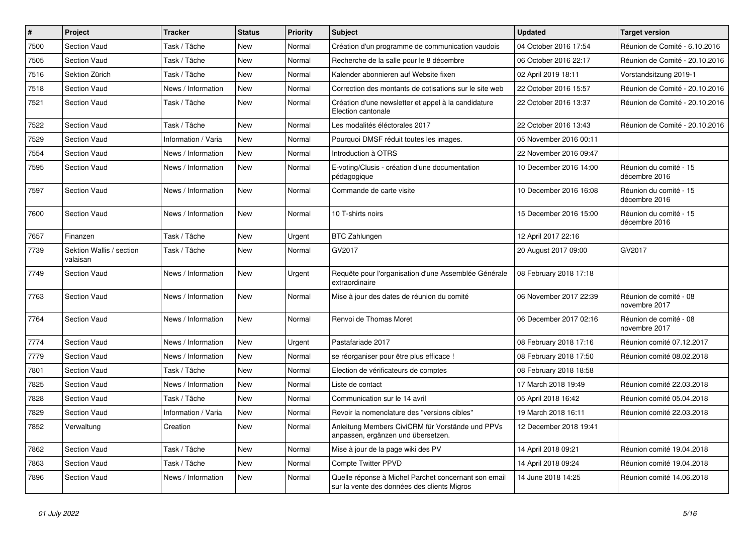| $\vert$ # | Project                              | <b>Tracker</b>      | <b>Status</b> | <b>Priority</b> | <b>Subject</b>                                                                                      | <b>Updated</b>         | <b>Target version</b>                   |
|-----------|--------------------------------------|---------------------|---------------|-----------------|-----------------------------------------------------------------------------------------------------|------------------------|-----------------------------------------|
| 7500      | Section Vaud                         | Task / Tâche        | New           | Normal          | Création d'un programme de communication vaudois                                                    | 04 October 2016 17:54  | Réunion de Comité - 6.10.2016           |
| 7505      | Section Vaud                         | Task / Tâche        | New           | Normal          | Recherche de la salle pour le 8 décembre                                                            | 06 October 2016 22:17  | Réunion de Comité - 20.10.2016          |
| 7516      | Sektion Zürich                       | Task / Tâche        | New           | Normal          | Kalender abonnieren auf Website fixen                                                               | 02 April 2019 18:11    | Vorstandsitzung 2019-1                  |
| 7518      | Section Vaud                         | News / Information  | New           | Normal          | Correction des montants de cotisations sur le site web                                              | 22 October 2016 15:57  | Réunion de Comité - 20.10.2016          |
| 7521      | <b>Section Vaud</b>                  | Task / Tâche        | New           | Normal          | Création d'une newsletter et appel à la candidature<br>Election cantonale                           | 22 October 2016 13:37  | Réunion de Comité - 20.10.2016          |
| 7522      | Section Vaud                         | Task / Tâche        | <b>New</b>    | Normal          | Les modalités éléctorales 2017                                                                      | 22 October 2016 13:43  | Réunion de Comité - 20.10.2016          |
| 7529      | Section Vaud                         | Information / Varia | New           | Normal          | Pourquoi DMSF réduit toutes les images.                                                             | 05 November 2016 00:11 |                                         |
| 7554      | Section Vaud                         | News / Information  | New           | Normal          | Introduction à OTRS                                                                                 | 22 November 2016 09:47 |                                         |
| 7595      | <b>Section Vaud</b>                  | News / Information  | New           | Normal          | E-voting/Clusis - création d'une documentation<br>pédagogique                                       | 10 December 2016 14:00 | Réunion du comité - 15<br>décembre 2016 |
| 7597      | Section Vaud                         | News / Information  | New           | Normal          | Commande de carte visite                                                                            | 10 December 2016 16:08 | Réunion du comité - 15<br>décembre 2016 |
| 7600      | <b>Section Vaud</b>                  | News / Information  | New           | Normal          | 10 T-shirts noirs                                                                                   | 15 December 2016 15:00 | Réunion du comité - 15<br>décembre 2016 |
| 7657      | Finanzen                             | Task / Tâche        | New           | Urgent          | <b>BTC Zahlungen</b>                                                                                | 12 April 2017 22:16    |                                         |
| 7739      | Sektion Wallis / section<br>valaisan | Task / Tâche        | New           | Normal          | GV2017                                                                                              | 20 August 2017 09:00   | GV2017                                  |
| 7749      | <b>Section Vaud</b>                  | News / Information  | <b>New</b>    | Urgent          | Requête pour l'organisation d'une Assemblée Générale<br>extraordinaire                              | 08 February 2018 17:18 |                                         |
| 7763      | <b>Section Vaud</b>                  | News / Information  | <b>New</b>    | Normal          | Mise à jour des dates de réunion du comité                                                          | 06 November 2017 22:39 | Réunion de comité - 08<br>novembre 2017 |
| 7764      | Section Vaud                         | News / Information  | New           | Normal          | Renvoi de Thomas Moret                                                                              | 06 December 2017 02:16 | Réunion de comité - 08<br>novembre 2017 |
| 7774      | Section Vaud                         | News / Information  | New           | Urgent          | Pastafariade 2017                                                                                   | 08 February 2018 17:16 | Réunion comité 07.12.2017               |
| 7779      | Section Vaud                         | News / Information  | New           | Normal          | se réorganiser pour être plus efficace !                                                            | 08 February 2018 17:50 | Réunion comité 08.02.2018               |
| 7801      | Section Vaud                         | Task / Tâche        | New           | Normal          | Election de vérificateurs de comptes                                                                | 08 February 2018 18:58 |                                         |
| 7825      | <b>Section Vaud</b>                  | News / Information  | New           | Normal          | Liste de contact                                                                                    | 17 March 2018 19:49    | Réunion comité 22.03.2018               |
| 7828      | <b>Section Vaud</b>                  | Task / Tâche        | <b>New</b>    | Normal          | Communication sur le 14 avril                                                                       | 05 April 2018 16:42    | Réunion comité 05.04.2018               |
| 7829      | <b>Section Vaud</b>                  | Information / Varia | New           | Normal          | Revoir la nomenclature des "versions cibles"                                                        | 19 March 2018 16:11    | Réunion comité 22.03.2018               |
| 7852      | Verwaltung                           | Creation            | New           | Normal          | Anleitung Members CiviCRM für Vorstände und PPVs<br>anpassen, ergänzen und übersetzen.              | 12 December 2018 19:41 |                                         |
| 7862      | Section Vaud                         | Task / Tâche        | New           | Normal          | Mise à jour de la page wiki des PV                                                                  | 14 April 2018 09:21    | Réunion comité 19.04.2018               |
| 7863      | Section Vaud                         | Task / Tâche        | New           | Normal          | Compte Twitter PPVD                                                                                 | 14 April 2018 09:24    | Réunion comité 19.04.2018               |
| 7896      | Section Vaud                         | News / Information  | New           | Normal          | Quelle réponse à Michel Parchet concernant son email<br>sur la vente des données des clients Migros | 14 June 2018 14:25     | Réunion comité 14.06.2018               |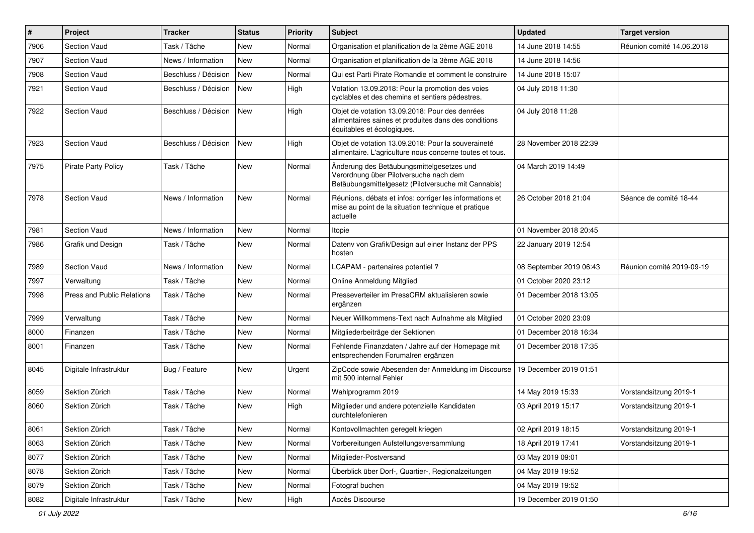| $\vert$ # | Project                           | <b>Tracker</b>       | <b>Status</b> | <b>Priority</b> | Subject                                                                                                                                    | <b>Updated</b>          | <b>Target version</b>     |
|-----------|-----------------------------------|----------------------|---------------|-----------------|--------------------------------------------------------------------------------------------------------------------------------------------|-------------------------|---------------------------|
| 7906      | Section Vaud                      | Task / Tâche         | <b>New</b>    | Normal          | Organisation et planification de la 2ème AGE 2018                                                                                          | 14 June 2018 14:55      | Réunion comité 14.06.2018 |
| 7907      | Section Vaud                      | News / Information   | <b>New</b>    | Normal          | Organisation et planification de la 3ème AGE 2018                                                                                          | 14 June 2018 14:56      |                           |
| 7908      | <b>Section Vaud</b>               | Beschluss / Décision | <b>New</b>    | Normal          | Qui est Parti Pirate Romandie et comment le construire                                                                                     | 14 June 2018 15:07      |                           |
| 7921      | <b>Section Vaud</b>               | Beschluss / Décision | <b>New</b>    | High            | Votation 13.09.2018: Pour la promotion des voies<br>cyclables et des chemins et sentiers pédestres.                                        | 04 July 2018 11:30      |                           |
| 7922      | Section Vaud                      | Beschluss / Décision | <b>New</b>    | High            | Objet de votation 13.09.2018: Pour des denrées<br>alimentaires saines et produites dans des conditions<br>équitables et écologiques.       | 04 July 2018 11:28      |                           |
| 7923      | Section Vaud                      | Beschluss / Décision | New           | High            | Objet de votation 13.09.2018: Pour la souveraineté<br>alimentaire. L'agriculture nous concerne toutes et tous.                             | 28 November 2018 22:39  |                           |
| 7975      | <b>Pirate Party Policy</b>        | Task / Tâche         | New           | Normal          | Änderung des Betäubungsmittelgesetzes und<br>Verordnung über Pilotversuche nach dem<br>Betäubungsmittelgesetz (Pilotversuche mit Cannabis) | 04 March 2019 14:49     |                           |
| 7978      | Section Vaud                      | News / Information   | New           | Normal          | Réunions, débats et infos: corriger les informations et<br>mise au point de la situation technique et pratique<br>actuelle                 | 26 October 2018 21:04   | Séance de comité 18-44    |
| 7981      | Section Vaud                      | News / Information   | <b>New</b>    | Normal          | Itopie                                                                                                                                     | 01 November 2018 20:45  |                           |
| 7986      | Grafik und Design                 | Task / Tâche         | New           | Normal          | Datenv von Grafik/Design auf einer Instanz der PPS<br>hosten                                                                               | 22 January 2019 12:54   |                           |
| 7989      | Section Vaud                      | News / Information   | <b>New</b>    | Normal          | LCAPAM - partenaires potentiel?                                                                                                            | 08 September 2019 06:43 | Réunion comité 2019-09-19 |
| 7997      | Verwaltung                        | Task / Tâche         | <b>New</b>    | Normal          | Online Anmeldung Mitglied                                                                                                                  | 01 October 2020 23:12   |                           |
| 7998      | <b>Press and Public Relations</b> | Task / Tâche         | <b>New</b>    | Normal          | Presseverteiler im PressCRM aktualisieren sowie<br>ergänzen                                                                                | 01 December 2018 13:05  |                           |
| 7999      | Verwaltung                        | Task / Tâche         | <b>New</b>    | Normal          | Neuer Willkommens-Text nach Aufnahme als Mitglied                                                                                          | 01 October 2020 23:09   |                           |
| 8000      | Finanzen                          | Task / Tâche         | New           | Normal          | Mitgliederbeiträge der Sektionen                                                                                                           | 01 December 2018 16:34  |                           |
| 8001      | Finanzen                          | Task / Tâche         | <b>New</b>    | Normal          | Fehlende Finanzdaten / Jahre auf der Homepage mit<br>entsprechenden Forumalren ergänzen                                                    | 01 December 2018 17:35  |                           |
| 8045      | Digitale Infrastruktur            | Bug / Feature        | <b>New</b>    | Urgent          | ZipCode sowie Abesenden der Anmeldung im Discourse<br>mit 500 internal Fehler                                                              | 19 December 2019 01:51  |                           |
| 8059      | Sektion Zürich                    | Task / Tâche         | New           | Normal          | Wahlprogramm 2019                                                                                                                          | 14 May 2019 15:33       | Vorstandsitzung 2019-1    |
| 8060      | Sektion Zürich                    | Task / Tâche         | New           | High            | Mitglieder und andere potenzielle Kandidaten<br>durchtelefonieren                                                                          | 03 April 2019 15:17     | Vorstandsitzung 2019-1    |
| 8061      | Sektion Zürich                    | Task / Tâche         | New           | Normal          | Kontovollmachten geregelt kriegen                                                                                                          | 02 April 2019 18:15     | Vorstandsitzung 2019-1    |
| 8063      | Sektion Zürich                    | Task / Tâche         | New           | Normal          | Vorbereitungen Aufstellungsversammlung                                                                                                     | 18 April 2019 17:41     | Vorstandsitzung 2019-1    |
| 8077      | Sektion Zürich                    | Task / Tâche         | New           | Normal          | Mitglieder-Postversand                                                                                                                     | 03 May 2019 09:01       |                           |
| 8078      | Sektion Zürich                    | Task / Tâche         | New           | Normal          | Überblick über Dorf-, Quartier-, Regionalzeitungen                                                                                         | 04 May 2019 19:52       |                           |
| 8079      | Sektion Zürich                    | Task / Tâche         | New           | Normal          | Fotograf buchen                                                                                                                            | 04 May 2019 19:52       |                           |
| 8082      | Digitale Infrastruktur            | Task / Tâche         | New           | High            | Accès Discourse                                                                                                                            | 19 December 2019 01:50  |                           |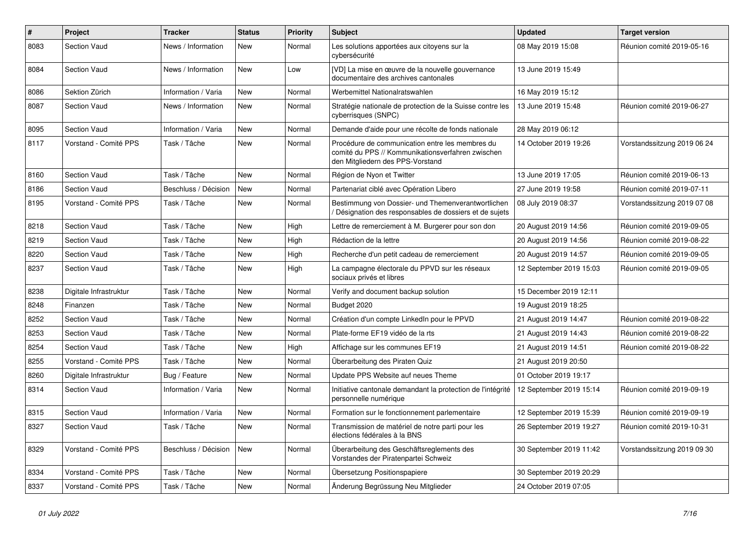| $\#$ | Project                | <b>Tracker</b>       | <b>Status</b> | <b>Priority</b> | <b>Subject</b>                                                                                                                           | Updated                 | <b>Target version</b>       |
|------|------------------------|----------------------|---------------|-----------------|------------------------------------------------------------------------------------------------------------------------------------------|-------------------------|-----------------------------|
| 8083 | Section Vaud           | News / Information   | New           | Normal          | Les solutions apportées aux citoyens sur la<br>cybersécurité                                                                             | 08 May 2019 15:08       | Réunion comité 2019-05-16   |
| 8084 | Section Vaud           | News / Information   | <b>New</b>    | Low             | [VD] La mise en œuvre de la nouvelle gouvernance<br>documentaire des archives cantonales                                                 | 13 June 2019 15:49      |                             |
| 8086 | Sektion Zürich         | Information / Varia  | New           | Normal          | Werbemittel Nationalratswahlen                                                                                                           | 16 May 2019 15:12       |                             |
| 8087 | <b>Section Vaud</b>    | News / Information   | New           | Normal          | Stratégie nationale de protection de la Suisse contre les<br>cyberrisques (SNPC)                                                         | 13 June 2019 15:48      | Réunion comité 2019-06-27   |
| 8095 | Section Vaud           | Information / Varia  | New           | Normal          | Demande d'aide pour une récolte de fonds nationale                                                                                       | 28 May 2019 06:12       |                             |
| 8117 | Vorstand - Comité PPS  | Task / Tâche         | New           | Normal          | Procédure de communication entre les membres du<br>comité du PPS // Kommunikationsverfahren zwischen<br>den Mitgliedern des PPS-Vorstand | 14 October 2019 19:26   | Vorstandssitzung 2019 06 24 |
| 8160 | <b>Section Vaud</b>    | Task / Tâche         | New           | Normal          | Région de Nyon et Twitter                                                                                                                | 13 June 2019 17:05      | Réunion comité 2019-06-13   |
| 8186 | Section Vaud           | Beschluss / Décision | New           | Normal          | Partenariat ciblé avec Opération Libero                                                                                                  | 27 June 2019 19:58      | Réunion comité 2019-07-11   |
| 8195 | Vorstand - Comité PPS  | Task / Tâche         | New           | Normal          | Bestimmung von Dossier- und Themenverantwortlichen<br>Désignation des responsables de dossiers et de sujets                              | 08 July 2019 08:37      | Vorstandssitzung 2019 07 08 |
| 8218 | <b>Section Vaud</b>    | Task / Tâche         | New           | High            | Lettre de remerciement à M. Burgerer pour son don                                                                                        | 20 August 2019 14:56    | Réunion comité 2019-09-05   |
| 8219 | Section Vaud           | Task / Tâche         | New           | High            | Rédaction de la lettre                                                                                                                   | 20 August 2019 14:56    | Réunion comité 2019-08-22   |
| 8220 | Section Vaud           | Task / Tâche         | New           | High            | Recherche d'un petit cadeau de remerciement                                                                                              | 20 August 2019 14:57    | Réunion comité 2019-09-05   |
| 8237 | Section Vaud           | Task / Tâche         | <b>New</b>    | High            | La campagne électorale du PPVD sur les réseaux<br>sociaux privés et libres                                                               | 12 September 2019 15:03 | Réunion comité 2019-09-05   |
| 8238 | Digitale Infrastruktur | Task / Tâche         | New           | Normal          | Verify and document backup solution                                                                                                      | 15 December 2019 12:11  |                             |
| 8248 | Finanzen               | Task / Tâche         | New           | Normal          | Budget 2020                                                                                                                              | 19 August 2019 18:25    |                             |
| 8252 | <b>Section Vaud</b>    | Task / Tâche         | New           | Normal          | Création d'un compte LinkedIn pour le PPVD                                                                                               | 21 August 2019 14:47    | Réunion comité 2019-08-22   |
| 8253 | Section Vaud           | Task / Tâche         | New           | Normal          | Plate-forme EF19 vidéo de la rts                                                                                                         | 21 August 2019 14:43    | Réunion comité 2019-08-22   |
| 8254 | <b>Section Vaud</b>    | Task / Tâche         | New           | High            | Affichage sur les communes EF19                                                                                                          | 21 August 2019 14:51    | Réunion comité 2019-08-22   |
| 8255 | Vorstand - Comité PPS  | Task / Tâche         | New           | Normal          | Überarbeitung des Piraten Quiz                                                                                                           | 21 August 2019 20:50    |                             |
| 8260 | Digitale Infrastruktur | Bug / Feature        | New           | Normal          | Update PPS Website auf neues Theme                                                                                                       | 01 October 2019 19:17   |                             |
| 8314 | Section Vaud           | Information / Varia  | New           | Normal          | Initiative cantonale demandant la protection de l'intégrité<br>personnelle numérique                                                     | 12 September 2019 15:14 | Réunion comité 2019-09-19   |
| 8315 | <b>Section Vaud</b>    | Information / Varia  | <b>New</b>    | Normal          | Formation sur le fonctionnement parlementaire                                                                                            | 12 September 2019 15:39 | Réunion comité 2019-09-19   |
| 8327 | <b>Section Vaud</b>    | Task / Tâche         | New           | Normal          | Transmission de matériel de notre parti pour les<br>élections fédérales à la BNS                                                         | 26 September 2019 19:27 | Réunion comité 2019-10-31   |
| 8329 | Vorstand - Comité PPS  | Beschluss / Décision | New           | Normal          | Überarbeitung des Geschäftsreglements des<br>Vorstandes der Piratenpartei Schweiz                                                        | 30 September 2019 11:42 | Vorstandssitzung 2019 09 30 |
| 8334 | Vorstand - Comité PPS  | Task / Tâche         | New           | Normal          | Übersetzung Positionspapiere                                                                                                             | 30 September 2019 20:29 |                             |
| 8337 | Vorstand - Comité PPS  | Task / Tâche         | New           | Normal          | Änderung Begrüssung Neu Mitglieder                                                                                                       | 24 October 2019 07:05   |                             |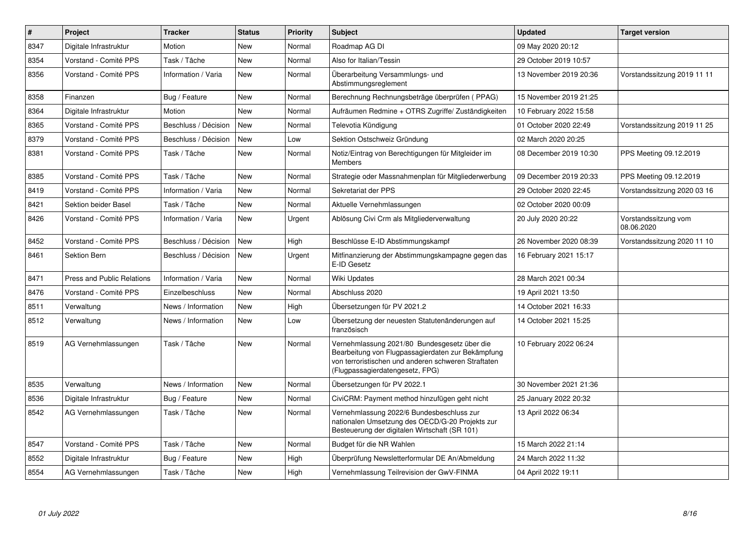| $\pmb{\#}$ | <b>Project</b>                    | <b>Tracker</b>       | <b>Status</b> | <b>Priority</b> | <b>Subject</b>                                                                                                                                                                              | <b>Updated</b>         | <b>Target version</b>              |
|------------|-----------------------------------|----------------------|---------------|-----------------|---------------------------------------------------------------------------------------------------------------------------------------------------------------------------------------------|------------------------|------------------------------------|
| 8347       | Digitale Infrastruktur            | Motion               | New           | Normal          | Roadmap AG DI                                                                                                                                                                               | 09 May 2020 20:12      |                                    |
| 8354       | Vorstand - Comité PPS             | Task / Tâche         | <b>New</b>    | Normal          | Also for Italian/Tessin                                                                                                                                                                     | 29 October 2019 10:57  |                                    |
| 8356       | Vorstand - Comité PPS             | Information / Varia  | New           | Normal          | Überarbeitung Versammlungs- und<br>Abstimmungsreglement                                                                                                                                     | 13 November 2019 20:36 | Vorstandssitzung 2019 11 11        |
| 8358       | Finanzen                          | Bug / Feature        | New           | Normal          | Berechnung Rechnungsbeträge überprüfen (PPAG)                                                                                                                                               | 15 November 2019 21:25 |                                    |
| 8364       | Digitale Infrastruktur            | Motion               | <b>New</b>    | Normal          | Aufräumen Redmine + OTRS Zugriffe/Zuständigkeiten                                                                                                                                           | 10 February 2022 15:58 |                                    |
| 8365       | Vorstand - Comité PPS             | Beschluss / Décision | <b>New</b>    | Normal          | Televotia Kündigung                                                                                                                                                                         | 01 October 2020 22:49  | Vorstandssitzung 2019 11 25        |
| 8379       | Vorstand - Comité PPS             | Beschluss / Décision | <b>New</b>    | Low             | Sektion Ostschweiz Gründung                                                                                                                                                                 | 02 March 2020 20:25    |                                    |
| 8381       | Vorstand - Comité PPS             | Task / Tâche         | New           | Normal          | Notiz/Eintrag von Berechtigungen für Mitgleider im<br>Members                                                                                                                               | 08 December 2019 10:30 | PPS Meeting 09.12.2019             |
| 8385       | Vorstand - Comité PPS             | Task / Tâche         | New           | Normal          | Strategie oder Massnahmenplan für Mitgliederwerbung                                                                                                                                         | 09 December 2019 20:33 | PPS Meeting 09.12.2019             |
| 8419       | Vorstand - Comité PPS             | Information / Varia  | New           | Normal          | Sekretariat der PPS                                                                                                                                                                         | 29 October 2020 22:45  | Vorstandssitzung 2020 03 16        |
| 8421       | Sektion beider Basel              | Task / Tâche         | New           | Normal          | Aktuelle Vernehmlassungen                                                                                                                                                                   | 02 October 2020 00:09  |                                    |
| 8426       | Vorstand - Comité PPS             | Information / Varia  | New           | Urgent          | Ablösung Civi Crm als Mitgliederverwaltung                                                                                                                                                  | 20 July 2020 20:22     | Vorstandssitzung vom<br>08.06.2020 |
| 8452       | Vorstand - Comité PPS             | Beschluss / Décision | <b>New</b>    | High            | Beschlüsse E-ID Abstimmungskampf                                                                                                                                                            | 26 November 2020 08:39 | Vorstandssitzung 2020 11 10        |
| 8461       | Sektion Bern                      | Beschluss / Décision | New           | Urgent          | Mitfinanzierung der Abstimmungskampagne gegen das<br>E-ID Gesetz                                                                                                                            | 16 February 2021 15:17 |                                    |
| 8471       | <b>Press and Public Relations</b> | Information / Varia  | New           | Normal          | Wiki Updates                                                                                                                                                                                | 28 March 2021 00:34    |                                    |
| 8476       | Vorstand - Comité PPS             | Einzelbeschluss      | New           | Normal          | Abschluss 2020                                                                                                                                                                              | 19 April 2021 13:50    |                                    |
| 8511       | Verwaltung                        | News / Information   | New           | High            | Übersetzungen für PV 2021.2                                                                                                                                                                 | 14 October 2021 16:33  |                                    |
| 8512       | Verwaltung                        | News / Information   | New           | Low             | Übersetzung der neuesten Statutenänderungen auf<br>französisch                                                                                                                              | 14 October 2021 15:25  |                                    |
| 8519       | AG Vernehmlassungen               | Task / Tâche         | New           | Normal          | Vernehmlassung 2021/80 Bundesgesetz über die<br>Bearbeitung von Flugpassagierdaten zur Bekämpfung<br>von terroristischen und anderen schweren Straftaten<br>(Flugpassagierdatengesetz, FPG) | 10 February 2022 06:24 |                                    |
| 8535       | Verwaltung                        | News / Information   | New           | Normal          | Übersetzungen für PV 2022.1                                                                                                                                                                 | 30 November 2021 21:36 |                                    |
| 8536       | Digitale Infrastruktur            | Bug / Feature        | New           | Normal          | CiviCRM: Payment method hinzufügen geht nicht                                                                                                                                               | 25 January 2022 20:32  |                                    |
| 8542       | AG Vernehmlassungen               | Task / Tâche         | New           | Normal          | Vernehmlassung 2022/6 Bundesbeschluss zur<br>nationalen Umsetzung des OECD/G-20 Projekts zur<br>Besteuerung der digitalen Wirtschaft (SR 101)                                               | 13 April 2022 06:34    |                                    |
| 8547       | Vorstand - Comité PPS             | Task / Tâche         | New           | Normal          | Budget für die NR Wahlen                                                                                                                                                                    | 15 March 2022 21:14    |                                    |
| 8552       | Digitale Infrastruktur            | Bug / Feature        | New           | High            | Überprüfung Newsletterformular DE An/Abmeldung                                                                                                                                              | 24 March 2022 11:32    |                                    |
| 8554       | AG Vernehmlassungen               | Task / Tâche         | New           | High            | Vernehmlassung Teilrevision der GwV-FINMA                                                                                                                                                   | 04 April 2022 19:11    |                                    |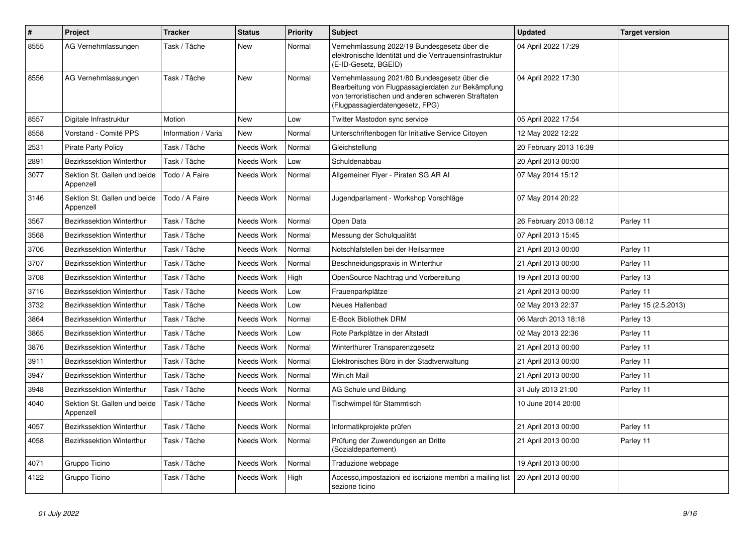| $\pmb{\#}$ | <b>Project</b>                            | <b>Tracker</b>      | <b>Status</b> | <b>Priority</b> | <b>Subject</b>                                                                                                                                                                              | <b>Updated</b>         | <b>Target version</b> |
|------------|-------------------------------------------|---------------------|---------------|-----------------|---------------------------------------------------------------------------------------------------------------------------------------------------------------------------------------------|------------------------|-----------------------|
| 8555       | AG Vernehmlassungen                       | Task / Tâche        | New           | Normal          | Vernehmlassung 2022/19 Bundesgesetz über die<br>elektronische Identität und die Vertrauensinfrastruktur<br>(E-ID-Gesetz, BGEID)                                                             | 04 April 2022 17:29    |                       |
| 8556       | AG Vernehmlassungen                       | Task / Tâche        | <b>New</b>    | Normal          | Vernehmlassung 2021/80 Bundesgesetz über die<br>Bearbeitung von Flugpassagierdaten zur Bekämpfung<br>von terroristischen und anderen schweren Straftaten<br>(Flugpassagierdatengesetz, FPG) | 04 April 2022 17:30    |                       |
| 8557       | Digitale Infrastruktur                    | Motion              | <b>New</b>    | Low             | Twitter Mastodon sync service                                                                                                                                                               | 05 April 2022 17:54    |                       |
| 8558       | Vorstand - Comité PPS                     | Information / Varia | <b>New</b>    | Normal          | Unterschriftenbogen für Initiative Service Citoyen                                                                                                                                          | 12 May 2022 12:22      |                       |
| 2531       | <b>Pirate Party Policy</b>                | Task / Tâche        | Needs Work    | Normal          | Gleichstellung                                                                                                                                                                              | 20 February 2013 16:39 |                       |
| 2891       | Bezirkssektion Winterthur                 | Task / Tâche        | Needs Work    | Low             | Schuldenabbau                                                                                                                                                                               | 20 April 2013 00:00    |                       |
| 3077       | Sektion St. Gallen und beide<br>Appenzell | Todo / A Faire      | Needs Work    | Normal          | Allgemeiner Flyer - Piraten SG AR Al                                                                                                                                                        | 07 May 2014 15:12      |                       |
| 3146       | Sektion St. Gallen und beide<br>Appenzell | Todo / A Faire      | Needs Work    | Normal          | Jugendparlament - Workshop Vorschläge                                                                                                                                                       | 07 May 2014 20:22      |                       |
| 3567       | Bezirkssektion Winterthur                 | Task / Tâche        | Needs Work    | Normal          | Open Data                                                                                                                                                                                   | 26 February 2013 08:12 | Parley 11             |
| 3568       | Bezirkssektion Winterthur                 | Task / Tâche        | Needs Work    | Normal          | Messung der Schulqualität                                                                                                                                                                   | 07 April 2013 15:45    |                       |
| 3706       | Bezirkssektion Winterthur                 | Task / Tâche        | Needs Work    | Normal          | Notschlafstellen bei der Heilsarmee                                                                                                                                                         | 21 April 2013 00:00    | Parley 11             |
| 3707       | Bezirkssektion Winterthur                 | Task / Tâche        | Needs Work    | Normal          | Beschneidungspraxis in Winterthur                                                                                                                                                           | 21 April 2013 00:00    | Parley 11             |
| 3708       | Bezirkssektion Winterthur                 | Task / Tâche        | Needs Work    | High            | OpenSource Nachtrag und Vorbereitung                                                                                                                                                        | 19 April 2013 00:00    | Parley 13             |
| 3716       | <b>Bezirkssektion Winterthur</b>          | Task / Tâche        | Needs Work    | Low             | Frauenparkplätze                                                                                                                                                                            | 21 April 2013 00:00    | Parley 11             |
| 3732       | Bezirkssektion Winterthur                 | Task / Tâche        | Needs Work    | Low             | Neues Hallenbad                                                                                                                                                                             | 02 May 2013 22:37      | Parley 15 (2.5.2013)  |
| 3864       | <b>Bezirkssektion Winterthur</b>          | Task / Tâche        | Needs Work    | Normal          | E-Book Bibliothek DRM                                                                                                                                                                       | 06 March 2013 18:18    | Parley 13             |
| 3865       | Bezirkssektion Winterthur                 | Task / Tâche        | Needs Work    | Low             | Rote Parkplätze in der Altstadt                                                                                                                                                             | 02 May 2013 22:36      | Parley 11             |
| 3876       | Bezirkssektion Winterthur                 | Task / Tâche        | Needs Work    | Normal          | Winterthurer Transparenzgesetz                                                                                                                                                              | 21 April 2013 00:00    | Parley 11             |
| 3911       | Bezirkssektion Winterthur                 | Task / Tâche        | Needs Work    | Normal          | Elektronisches Büro in der Stadtverwaltung                                                                                                                                                  | 21 April 2013 00:00    | Parley 11             |
| 3947       | Bezirkssektion Winterthur                 | Task / Tâche        | Needs Work    | Normal          | Win.ch Mail                                                                                                                                                                                 | 21 April 2013 00:00    | Parley 11             |
| 3948       | <b>Bezirkssektion Winterthur</b>          | Task / Tâche        | Needs Work    | Normal          | AG Schule und Bildung                                                                                                                                                                       | 31 July 2013 21:00     | Parley 11             |
| 4040       | Sektion St. Gallen und beide<br>Appenzell | Task / Tâche        | Needs Work    | Normal          | Tischwimpel für Stammtisch                                                                                                                                                                  | 10 June 2014 20:00     |                       |
| 4057       | Bezirkssektion Winterthur                 | Task / Tâche        | Needs Work    | Normal          | Informatikprojekte prüfen                                                                                                                                                                   | 21 April 2013 00:00    | Parley 11             |
| 4058       | Bezirkssektion Winterthur                 | Task / Tâche        | Needs Work    | Normal          | Prüfung der Zuwendungen an Dritte<br>(Sozialdepartement)                                                                                                                                    | 21 April 2013 00:00    | Parley 11             |
| 4071       | Gruppo Ticino                             | Task / Tâche        | Needs Work    | Normal          | Traduzione webpage                                                                                                                                                                          | 19 April 2013 00:00    |                       |
| 4122       | Gruppo Ticino                             | Task / Tâche        | Needs Work    | High            | Accesso, impostazioni ed iscrizione membri a mailing list<br>sezione ticino                                                                                                                 | 20 April 2013 00:00    |                       |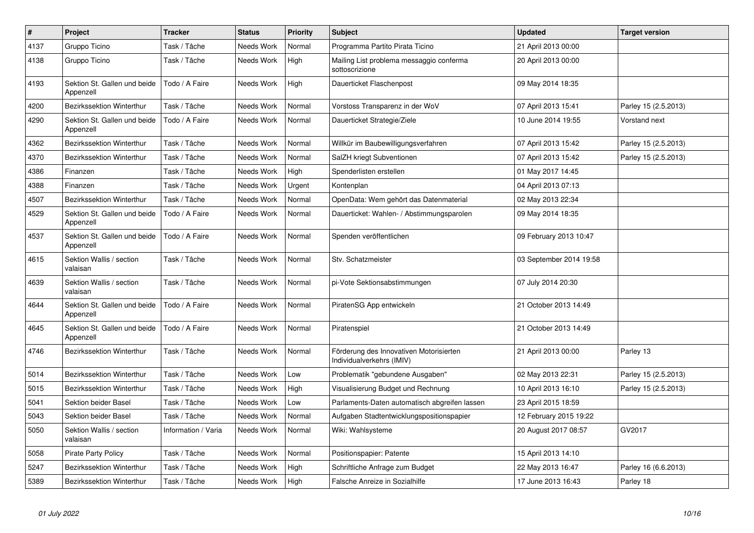| $\#$ | Project                                   | <b>Tracker</b>      | <b>Status</b> | <b>Priority</b> | <b>Subject</b>                                                       | <b>Updated</b>          | <b>Target version</b> |
|------|-------------------------------------------|---------------------|---------------|-----------------|----------------------------------------------------------------------|-------------------------|-----------------------|
| 4137 | Gruppo Ticino                             | Task / Tâche        | Needs Work    | Normal          | Programma Partito Pirata Ticino                                      | 21 April 2013 00:00     |                       |
| 4138 | Gruppo Ticino                             | Task / Tâche        | Needs Work    | High            | Mailing List problema messaggio conferma<br>sottoscrizione           | 20 April 2013 00:00     |                       |
| 4193 | Sektion St. Gallen und beide<br>Appenzell | Todo / A Faire      | Needs Work    | High            | Dauerticket Flaschenpost                                             | 09 May 2014 18:35       |                       |
| 4200 | Bezirkssektion Winterthur                 | Task / Tâche        | Needs Work    | Normal          | Vorstoss Transparenz in der WoV                                      | 07 April 2013 15:41     | Parley 15 (2.5.2013)  |
| 4290 | Sektion St. Gallen und beide<br>Appenzell | Todo / A Faire      | Needs Work    | Normal          | Dauerticket Strategie/Ziele                                          | 10 June 2014 19:55      | Vorstand next         |
| 4362 | Bezirkssektion Winterthur                 | Task / Tâche        | Needs Work    | Normal          | Willkür im Baubewilligungsverfahren                                  | 07 April 2013 15:42     | Parley 15 (2.5.2013)  |
| 4370 | Bezirkssektion Winterthur                 | Task / Tâche        | Needs Work    | Normal          | SalZH kriegt Subventionen                                            | 07 April 2013 15:42     | Parley 15 (2.5.2013)  |
| 4386 | Finanzen                                  | Task / Tâche        | Needs Work    | High            | Spenderlisten erstellen                                              | 01 May 2017 14:45       |                       |
| 4388 | Finanzen                                  | Task / Tâche        | Needs Work    | Urgent          | Kontenplan                                                           | 04 April 2013 07:13     |                       |
| 4507 | Bezirkssektion Winterthur                 | Task / Tâche        | Needs Work    | Normal          | OpenData: Wem gehört das Datenmaterial                               | 02 May 2013 22:34       |                       |
| 4529 | Sektion St. Gallen und beide<br>Appenzell | Todo / A Faire      | Needs Work    | Normal          | Dauerticket: Wahlen- / Abstimmungsparolen                            | 09 May 2014 18:35       |                       |
| 4537 | Sektion St. Gallen und beide<br>Appenzell | Todo / A Faire      | Needs Work    | Normal          | Spenden veröffentlichen                                              | 09 February 2013 10:47  |                       |
| 4615 | Sektion Wallis / section<br>valaisan      | Task / Tâche        | Needs Work    | Normal          | Stv. Schatzmeister                                                   | 03 September 2014 19:58 |                       |
| 4639 | Sektion Wallis / section<br>valaisan      | Task / Tâche        | Needs Work    | Normal          | pi-Vote Sektionsabstimmungen                                         | 07 July 2014 20:30      |                       |
| 4644 | Sektion St. Gallen und beide<br>Appenzell | Todo / A Faire      | Needs Work    | Normal          | PiratenSG App entwickeln                                             | 21 October 2013 14:49   |                       |
| 4645 | Sektion St. Gallen und beide<br>Appenzell | Todo / A Faire      | Needs Work    | Normal          | Piratenspiel                                                         | 21 October 2013 14:49   |                       |
| 4746 | Bezirkssektion Winterthur                 | Task / Tâche        | Needs Work    | Normal          | Förderung des Innovativen Motorisierten<br>Individualverkehrs (IMIV) | 21 April 2013 00:00     | Parley 13             |
| 5014 | Bezirkssektion Winterthur                 | Task / Tâche        | Needs Work    | Low             | Problematik "gebundene Ausgaben"                                     | 02 May 2013 22:31       | Parley 15 (2.5.2013)  |
| 5015 | Bezirkssektion Winterthur                 | Task / Tâche        | Needs Work    | High            | Visualisierung Budget und Rechnung                                   | 10 April 2013 16:10     | Parley 15 (2.5.2013)  |
| 5041 | Sektion beider Basel                      | Task / Tâche        | Needs Work    | Low             | Parlaments-Daten automatisch abgreifen lassen                        | 23 April 2015 18:59     |                       |
| 5043 | Sektion beider Basel                      | Task / Tâche        | Needs Work    | Normal          | Aufgaben Stadtentwicklungspositionspapier                            | 12 February 2015 19:22  |                       |
| 5050 | Sektion Wallis / section<br>valaisan      | Information / Varia | Needs Work    | Normal          | Wiki: Wahlsysteme                                                    | 20 August 2017 08:57    | GV2017                |
| 5058 | <b>Pirate Party Policy</b>                | Task / Tâche        | Needs Work    | Normal          | Positionspapier: Patente                                             | 15 April 2013 14:10     |                       |
| 5247 | Bezirkssektion Winterthur                 | Task / Tâche        | Needs Work    | High            | Schriftliche Anfrage zum Budget                                      | 22 May 2013 16:47       | Parley 16 (6.6.2013)  |
| 5389 | Bezirkssektion Winterthur                 | Task / Tâche        | Needs Work    | High            | Falsche Anreize in Sozialhilfe                                       | 17 June 2013 16:43      | Parley 18             |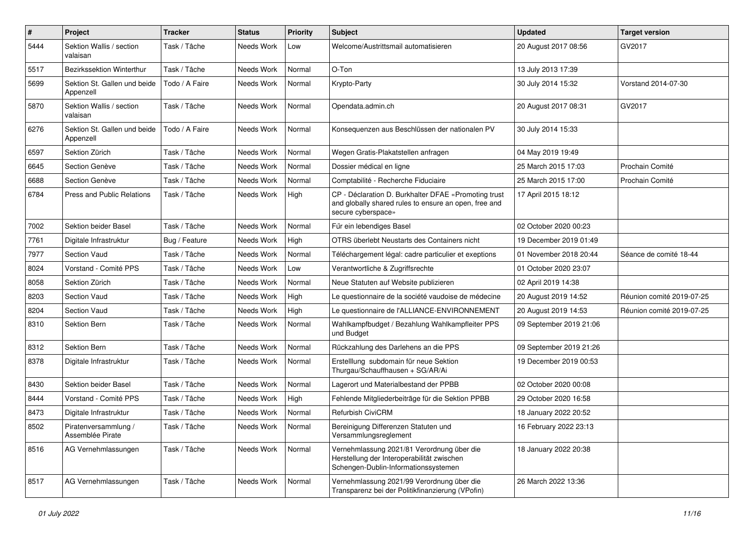| #    | Project                                   | <b>Tracker</b> | <b>Status</b>       | <b>Priority</b> | Subject                                                                                                                             | <b>Updated</b>          | <b>Target version</b>     |
|------|-------------------------------------------|----------------|---------------------|-----------------|-------------------------------------------------------------------------------------------------------------------------------------|-------------------------|---------------------------|
| 5444 | Sektion Wallis / section<br>valaisan      | Task / Tâche   | Needs Work          | Low             | Welcome/Austrittsmail automatisieren                                                                                                | 20 August 2017 08:56    | GV2017                    |
| 5517 | <b>Bezirkssektion Winterthur</b>          | Task / Tâche   | Needs Work          | Normal          | O-Ton                                                                                                                               | 13 July 2013 17:39      |                           |
| 5699 | Sektion St. Gallen und beide<br>Appenzell | Todo / A Faire | Needs Work          | Normal          | Krypto-Party                                                                                                                        | 30 July 2014 15:32      | Vorstand 2014-07-30       |
| 5870 | Sektion Wallis / section<br>valaisan      | Task / Tâche   | Needs Work          | Normal          | Opendata.admin.ch                                                                                                                   | 20 August 2017 08:31    | GV2017                    |
| 6276 | Sektion St. Gallen und beide<br>Appenzell | Todo / A Faire | Needs Work          | Normal          | Konsequenzen aus Beschlüssen der nationalen PV                                                                                      | 30 July 2014 15:33      |                           |
| 6597 | Sektion Zürich                            | Task / Tâche   | Needs Work          | Normal          | Wegen Gratis-Plakatstellen anfragen                                                                                                 | 04 May 2019 19:49       |                           |
| 6645 | Section Genève                            | Task / Tâche   | Needs Work          | Normal          | Dossier médical en ligne                                                                                                            | 25 March 2015 17:03     | Prochain Comité           |
| 6688 | Section Genève                            | Task / Tâche   | Needs Work          | Normal          | Comptabilité - Recherche Fiduciaire                                                                                                 | 25 March 2015 17:00     | Prochain Comité           |
| 6784 | Press and Public Relations                | Task / Tâche   | Needs Work          | High            | CP - Déclaration D. Burkhalter DFAE «Promoting trust<br>and globally shared rules to ensure an open, free and<br>secure cyberspace» | 17 April 2015 18:12     |                           |
| 7002 | Sektion beider Basel                      | Task / Tâche   | Needs Work          | Normal          | Für ein lebendiges Basel                                                                                                            | 02 October 2020 00:23   |                           |
| 7761 | Digitale Infrastruktur                    | Bug / Feature  | Needs Work          | High            | OTRS überlebt Neustarts des Containers nicht                                                                                        | 19 December 2019 01:49  |                           |
| 7977 | Section Vaud                              | Task / Tâche   | Needs Work          | Normal          | Téléchargement légal: cadre particulier et exeptions                                                                                | 01 November 2018 20:44  | Séance de comité 18-44    |
| 8024 | Vorstand - Comité PPS                     | Task / Tâche   | Needs Work          | Low             | Verantwortliche & Zugriffsrechte                                                                                                    | 01 October 2020 23:07   |                           |
| 8058 | Sektion Zürich                            | Task / Tâche   | Needs Work          | Normal          | Neue Statuten auf Website publizieren                                                                                               | 02 April 2019 14:38     |                           |
| 8203 | <b>Section Vaud</b>                       | Task / Tâche   | Needs Work          | High            | Le questionnaire de la société vaudoise de médecine                                                                                 | 20 August 2019 14:52    | Réunion comité 2019-07-25 |
| 8204 | Section Vaud                              | Task / Tâche   | Needs Work          | High            | Le questionnaire de l'ALLIANCE-ENVIRONNEMENT                                                                                        | 20 August 2019 14:53    | Réunion comité 2019-07-25 |
| 8310 | Sektion Bern                              | Task / Tâche   | Needs Work          | Normal          | Wahlkampfbudget / Bezahlung Wahlkampfleiter PPS<br>und Budget                                                                       | 09 September 2019 21:06 |                           |
| 8312 | Sektion Bern                              | Task / Tâche   | Needs Work          | Normal          | Rückzahlung des Darlehens an die PPS                                                                                                | 09 September 2019 21:26 |                           |
| 8378 | Digitale Infrastruktur                    | Task / Tâche   | Needs Work          | Normal          | Erstelllung subdomain für neue Sektion<br>Thurgau/Schauffhausen + SG/AR/Ai                                                          | 19 December 2019 00:53  |                           |
| 8430 | Sektion beider Basel                      | Task / Tâche   | Needs Work          | Normal          | Lagerort und Materialbestand der PPBB                                                                                               | 02 October 2020 00:08   |                           |
| 8444 | Vorstand - Comité PPS                     | Task / Tâche   | Needs Work          | High            | Fehlende Mitgliederbeiträge für die Sektion PPBB                                                                                    | 29 October 2020 16:58   |                           |
| 8473 | Digitale Infrastruktur                    | Task / Tâche   | Needs Work          | Normal          | <b>Refurbish CiviCRM</b>                                                                                                            | 18 January 2022 20:52   |                           |
| 8502 | Piratenversammlung /<br>Assemblée Pirate  | Task / Tâche   | Needs Work   Normal |                 | Bereinigung Differenzen Statuten und<br>Versammlungsreglement                                                                       | 16 February 2022 23:13  |                           |
| 8516 | AG Vernehmlassungen                       | Task / Tâche   | Needs Work          | Normal          | Vernehmlassung 2021/81 Verordnung über die<br>Herstellung der Interoperabilität zwischen<br>Schengen-Dublin-Informationssystemen    | 18 January 2022 20:38   |                           |
| 8517 | AG Vernehmlassungen                       | Task / Tâche   | Needs Work          | Normal          | Vernehmlassung 2021/99 Verordnung über die<br>Transparenz bei der Politikfinanzierung (VPofin)                                      | 26 March 2022 13:36     |                           |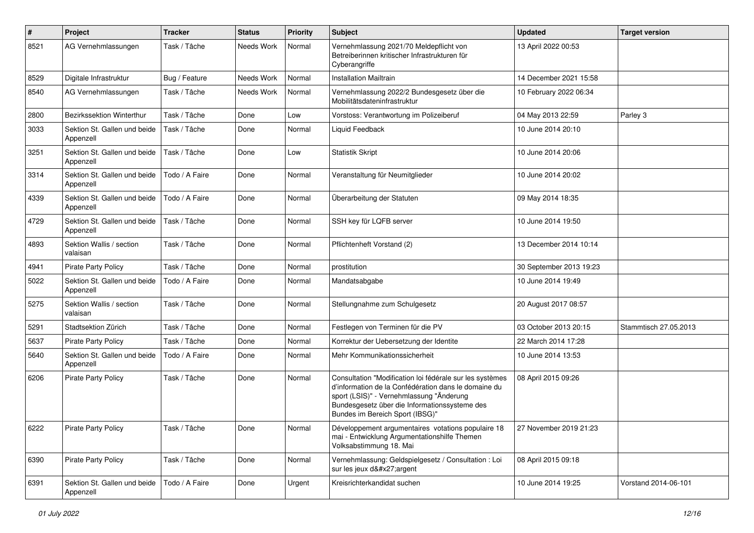| $\#$ | Project                                   | <b>Tracker</b> | <b>Status</b> | <b>Priority</b> | Subject                                                                                                                                                                                                                                          | <b>Updated</b>          | <b>Target version</b> |
|------|-------------------------------------------|----------------|---------------|-----------------|--------------------------------------------------------------------------------------------------------------------------------------------------------------------------------------------------------------------------------------------------|-------------------------|-----------------------|
| 8521 | AG Vernehmlassungen                       | Task / Tâche   | Needs Work    | Normal          | Vernehmlassung 2021/70 Meldepflicht von<br>Betreiberinnen kritischer Infrastrukturen für<br>Cyberangriffe                                                                                                                                        | 13 April 2022 00:53     |                       |
| 8529 | Digitale Infrastruktur                    | Bug / Feature  | Needs Work    | Normal          | <b>Installation Mailtrain</b>                                                                                                                                                                                                                    | 14 December 2021 15:58  |                       |
| 8540 | AG Vernehmlassungen                       | Task / Tâche   | Needs Work    | Normal          | Vernehmlassung 2022/2 Bundesgesetz über die<br>Mobilitätsdateninfrastruktur                                                                                                                                                                      | 10 February 2022 06:34  |                       |
| 2800 | <b>Bezirkssektion Winterthur</b>          | Task / Tâche   | Done          | Low             | Vorstoss: Verantwortung im Polizeiberuf                                                                                                                                                                                                          | 04 May 2013 22:59       | Parley 3              |
| 3033 | Sektion St. Gallen und beide<br>Appenzell | Task / Tâche   | Done          | Normal          | Liquid Feedback                                                                                                                                                                                                                                  | 10 June 2014 20:10      |                       |
| 3251 | Sektion St. Gallen und beide<br>Appenzell | Task / Tâche   | Done          | Low             | <b>Statistik Skript</b>                                                                                                                                                                                                                          | 10 June 2014 20:06      |                       |
| 3314 | Sektion St. Gallen und beide<br>Appenzell | Todo / A Faire | Done          | Normal          | Veranstaltung für Neumitglieder                                                                                                                                                                                                                  | 10 June 2014 20:02      |                       |
| 4339 | Sektion St. Gallen und beide<br>Appenzell | Todo / A Faire | Done          | Normal          | Überarbeitung der Statuten                                                                                                                                                                                                                       | 09 May 2014 18:35       |                       |
| 4729 | Sektion St. Gallen und beide<br>Appenzell | Task / Tâche   | Done          | Normal          | SSH key für LQFB server                                                                                                                                                                                                                          | 10 June 2014 19:50      |                       |
| 4893 | Sektion Wallis / section<br>valaisan      | Task / Tâche   | Done          | Normal          | Pflichtenheft Vorstand (2)                                                                                                                                                                                                                       | 13 December 2014 10:14  |                       |
| 4941 | <b>Pirate Party Policy</b>                | Task / Tâche   | Done          | Normal          | prostitution                                                                                                                                                                                                                                     | 30 September 2013 19:23 |                       |
| 5022 | Sektion St. Gallen und beide<br>Appenzell | Todo / A Faire | Done          | Normal          | Mandatsabgabe                                                                                                                                                                                                                                    | 10 June 2014 19:49      |                       |
| 5275 | Sektion Wallis / section<br>valaisan      | Task / Tâche   | Done          | Normal          | Stellungnahme zum Schulgesetz                                                                                                                                                                                                                    | 20 August 2017 08:57    |                       |
| 5291 | Stadtsektion Zürich                       | Task / Tâche   | Done          | Normal          | Festlegen von Terminen für die PV                                                                                                                                                                                                                | 03 October 2013 20:15   | Stammtisch 27.05.2013 |
| 5637 | <b>Pirate Party Policy</b>                | Task / Tâche   | Done          | Normal          | Korrektur der Uebersetzung der Identite                                                                                                                                                                                                          | 22 March 2014 17:28     |                       |
| 5640 | Sektion St. Gallen und beide<br>Appenzell | Todo / A Faire | Done          | Normal          | Mehr Kommunikationssicherheit                                                                                                                                                                                                                    | 10 June 2014 13:53      |                       |
| 6206 | <b>Pirate Party Policy</b>                | Task / Tâche   | Done          | Normal          | Consultation "Modification loi fédérale sur les systèmes<br>d'information de la Confédération dans le domaine du<br>sport (LSIS)" - Vernehmlassung "Änderung<br>Bundesgesetz über die Informationssysteme des<br>Bundes im Bereich Sport (IBSG)" | 08 April 2015 09:26     |                       |
| 6222 | Pirate Party Policy                       | Task / Tâche   | Done          | Normal          | Développement argumentaires votations populaire 18<br>mai - Entwicklung Argumentationshilfe Themen<br>Volksabstimmung 18. Mai                                                                                                                    | 27 November 2019 21:23  |                       |
| 6390 | <b>Pirate Party Policy</b>                | Task / Tâche   | Done          | Normal          | Vernehmlassung: Geldspielgesetz / Consultation : Loi<br>sur les jeux d'argent                                                                                                                                                                    | 08 April 2015 09:18     |                       |
| 6391 | Sektion St. Gallen und beide<br>Appenzell | Todo / A Faire | Done          | Urgent          | Kreisrichterkandidat suchen                                                                                                                                                                                                                      | 10 June 2014 19:25      | Vorstand 2014-06-101  |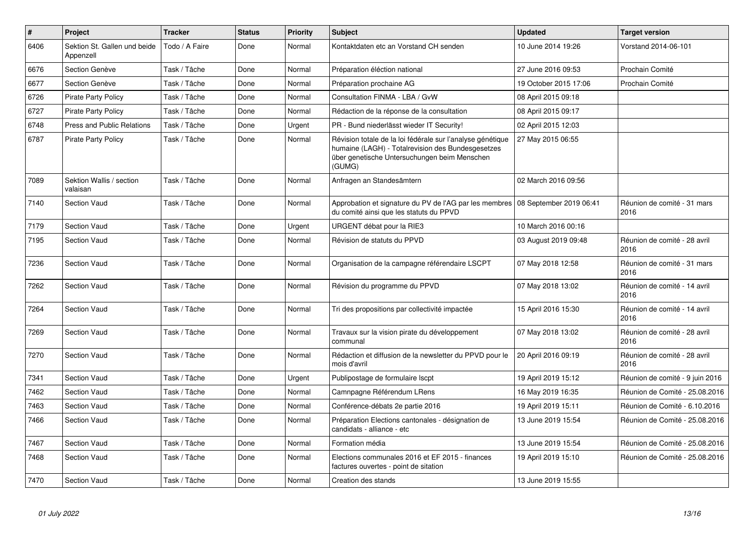| $\vert$ # | Project                                   | <b>Tracker</b> | <b>Status</b> | <b>Priority</b> | <b>Subject</b>                                                                                                                                                            | <b>Updated</b>        | <b>Target version</b>                |
|-----------|-------------------------------------------|----------------|---------------|-----------------|---------------------------------------------------------------------------------------------------------------------------------------------------------------------------|-----------------------|--------------------------------------|
| 6406      | Sektion St. Gallen und beide<br>Appenzell | Todo / A Faire | Done          | Normal          | Kontaktdaten etc an Vorstand CH senden                                                                                                                                    | 10 June 2014 19:26    | Vorstand 2014-06-101                 |
| 6676      | Section Genève                            | Task / Tâche   | Done          | Normal          | Préparation éléction national                                                                                                                                             | 27 June 2016 09:53    | Prochain Comité                      |
| 6677      | Section Genève                            | Task / Tâche   | Done          | Normal          | Préparation prochaine AG                                                                                                                                                  | 19 October 2015 17:06 | Prochain Comité                      |
| 6726      | <b>Pirate Party Policy</b>                | Task / Tâche   | Done          | Normal          | Consultation FINMA - LBA / GvW                                                                                                                                            | 08 April 2015 09:18   |                                      |
| 6727      | <b>Pirate Party Policy</b>                | Task / Tâche   | Done          | Normal          | Rédaction de la réponse de la consultation                                                                                                                                | 08 April 2015 09:17   |                                      |
| 6748      | <b>Press and Public Relations</b>         | Task / Tâche   | Done          | Urgent          | PR - Bund niederlässt wieder IT Security!                                                                                                                                 | 02 April 2015 12:03   |                                      |
| 6787      | <b>Pirate Party Policy</b>                | Task / Tâche   | Done          | Normal          | Révision totale de la loi fédérale sur l'analyse génétique<br>humaine (LAGH) - Totalrevision des Bundesgesetzes<br>über genetische Untersuchungen beim Menschen<br>(GUMG) | 27 May 2015 06:55     |                                      |
| 7089      | Sektion Wallis / section<br>valaisan      | Task / Tâche   | Done          | Normal          | Anfragen an Standesämtern                                                                                                                                                 | 02 March 2016 09:56   |                                      |
| 7140      | Section Vaud                              | Task / Tâche   | Done          | Normal          | Approbation et signature du PV de l'AG par les membres   08 September 2019 06:41<br>du comité ainsi que les statuts du PPVD                                               |                       | Réunion de comité - 31 mars<br>2016  |
| 7179      | <b>Section Vaud</b>                       | Task / Tâche   | Done          | Urgent          | URGENT débat pour la RIE3                                                                                                                                                 | 10 March 2016 00:16   |                                      |
| 7195      | <b>Section Vaud</b>                       | Task / Tâche   | Done          | Normal          | Révision de statuts du PPVD                                                                                                                                               | 03 August 2019 09:48  | Réunion de comité - 28 avril<br>2016 |
| 7236      | <b>Section Vaud</b>                       | Task / Tâche   | Done          | Normal          | Organisation de la campagne référendaire LSCPT                                                                                                                            | 07 May 2018 12:58     | Réunion de comité - 31 mars<br>2016  |
| 7262      | <b>Section Vaud</b>                       | Task / Tâche   | Done          | Normal          | Révision du programme du PPVD                                                                                                                                             | 07 May 2018 13:02     | Réunion de comité - 14 avril<br>2016 |
| 7264      | Section Vaud                              | Task / Tâche   | Done          | Normal          | Tri des propositions par collectivité impactée                                                                                                                            | 15 April 2016 15:30   | Réunion de comité - 14 avril<br>2016 |
| 7269      | Section Vaud                              | Task / Tâche   | Done          | Normal          | Travaux sur la vision pirate du développement<br>communal                                                                                                                 | 07 May 2018 13:02     | Réunion de comité - 28 avril<br>2016 |
| 7270      | <b>Section Vaud</b>                       | Task / Tâche   | Done          | Normal          | Rédaction et diffusion de la newsletter du PPVD pour le<br>mois d'avril                                                                                                   | 20 April 2016 09:19   | Réunion de comité - 28 avril<br>2016 |
| 7341      | <b>Section Vaud</b>                       | Task / Tâche   | Done          | Urgent          | Publipostage de formulaire Iscpt                                                                                                                                          | 19 April 2019 15:12   | Réunion de comité - 9 juin 2016      |
| 7462      | Section Vaud                              | Task / Tâche   | Done          | Normal          | Camnpagne Référendum LRens                                                                                                                                                | 16 May 2019 16:35     | Réunion de Comité - 25.08.2016       |
| 7463      | <b>Section Vaud</b>                       | Task / Tâche   | Done          | Normal          | Conférence-débats 2e partie 2016                                                                                                                                          | 19 April 2019 15:11   | Réunion de Comité - 6.10.2016        |
| 7466      | <b>Section Vaud</b>                       | Task / Tâche   | Done          | Normal          | Préparation Elections cantonales - désignation de<br>candidats - alliance - etc                                                                                           | 13 June 2019 15:54    | Réunion de Comité - 25.08.2016       |
| 7467      | Section Vaud                              | Task / Tâche   | Done          | Normal          | Formation média                                                                                                                                                           | 13 June 2019 15:54    | Réunion de Comité - 25.08.2016       |
| 7468      | <b>Section Vaud</b>                       | Task / Tâche   | Done          | Normal          | Elections communales 2016 et EF 2015 - finances<br>factures ouvertes - point de sitation                                                                                  | 19 April 2019 15:10   | Réunion de Comité - 25.08.2016       |
| 7470      | Section Vaud                              | Task / Tâche   | Done          | Normal          | Creation des stands                                                                                                                                                       | 13 June 2019 15:55    |                                      |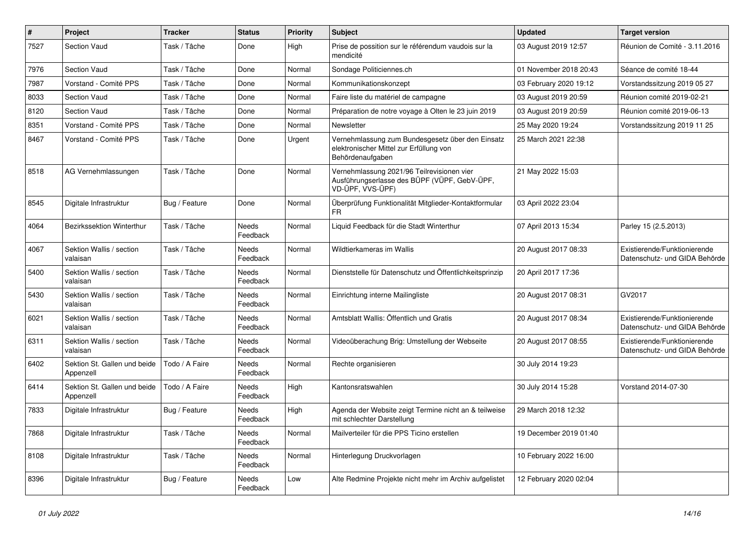| $\#$ | Project                                   | <b>Tracker</b> | <b>Status</b>     | <b>Priority</b> | Subject                                                                                                         | <b>Updated</b>         | <b>Target version</b>                                         |
|------|-------------------------------------------|----------------|-------------------|-----------------|-----------------------------------------------------------------------------------------------------------------|------------------------|---------------------------------------------------------------|
| 7527 | <b>Section Vaud</b>                       | Task / Tâche   | Done              | High            | Prise de possition sur le référendum vaudois sur la<br>mendicité                                                | 03 August 2019 12:57   | Réunion de Comité - 3.11.2016                                 |
| 7976 | <b>Section Vaud</b>                       | Task / Tâche   | Done              | Normal          | Sondage Politiciennes.ch                                                                                        | 01 November 2018 20:43 | Séance de comité 18-44                                        |
| 7987 | Vorstand - Comité PPS                     | Task / Tâche   | Done              | Normal          | Kommunikationskonzept                                                                                           | 03 February 2020 19:12 | Vorstandssitzung 2019 05 27                                   |
| 8033 | <b>Section Vaud</b>                       | Task / Tâche   | Done              | Normal          | Faire liste du matériel de campagne                                                                             | 03 August 2019 20:59   | Réunion comité 2019-02-21                                     |
| 8120 | <b>Section Vaud</b>                       | Task / Tâche   | Done              | Normal          | Préparation de notre voyage à Olten le 23 juin 2019                                                             | 03 August 2019 20:59   | Réunion comité 2019-06-13                                     |
| 8351 | Vorstand - Comité PPS                     | Task / Tâche   | Done              | Normal          | Newsletter                                                                                                      | 25 May 2020 19:24      | Vorstandssitzung 2019 11 25                                   |
| 8467 | Vorstand - Comité PPS                     | Task / Tâche   | Done              | Urgent          | Vernehmlassung zum Bundesgesetz über den Einsatz<br>elektronischer Mittel zur Erfüllung von<br>Behördenaufgaben | 25 March 2021 22:38    |                                                               |
| 8518 | AG Vernehmlassungen                       | Task / Tâche   | Done              | Normal          | Vernehmlassung 2021/96 Teilrevisionen vier<br>Ausführungserlasse des BÜPF (VÜPF, GebV-ÜPF,<br>VD-ÜPF, VVS-ÜPF)  | 21 May 2022 15:03      |                                                               |
| 8545 | Digitale Infrastruktur                    | Bug / Feature  | Done              | Normal          | Überprüfung Funktionalität Mitglieder-Kontaktformular<br>FR                                                     | 03 April 2022 23:04    |                                                               |
| 4064 | Bezirkssektion Winterthur                 | Task / Tâche   | Needs<br>Feedback | Normal          | Liquid Feedback für die Stadt Winterthur                                                                        | 07 April 2013 15:34    | Parley 15 (2.5.2013)                                          |
| 4067 | Sektion Wallis / section<br>valaisan      | Task / Tâche   | Needs<br>Feedback | Normal          | Wildtierkameras im Wallis                                                                                       | 20 August 2017 08:33   | Existierende/Funktionierende<br>Datenschutz- und GIDA Behörde |
| 5400 | Sektion Wallis / section<br>valaisan      | Task / Tâche   | Needs<br>Feedback | Normal          | Dienststelle für Datenschutz und Öffentlichkeitsprinzip                                                         | 20 April 2017 17:36    |                                                               |
| 5430 | Sektion Wallis / section<br>valaisan      | Task / Tâche   | Needs<br>Feedback | Normal          | Einrichtung interne Mailingliste                                                                                | 20 August 2017 08:31   | GV2017                                                        |
| 6021 | Sektion Wallis / section<br>valaisan      | Task / Tâche   | Needs<br>Feedback | Normal          | Amtsblatt Wallis: Öffentlich und Gratis                                                                         | 20 August 2017 08:34   | Existierende/Funktionierende<br>Datenschutz- und GIDA Behörde |
| 6311 | Sektion Wallis / section<br>valaisan      | Task / Tâche   | Needs<br>Feedback | Normal          | Videoüberachung Brig: Umstellung der Webseite                                                                   | 20 August 2017 08:55   | Existierende/Funktionierende<br>Datenschutz- und GIDA Behörde |
| 6402 | Sektion St. Gallen und beide<br>Appenzell | Todo / A Faire | Needs<br>Feedback | Normal          | Rechte organisieren                                                                                             | 30 July 2014 19:23     |                                                               |
| 6414 | Sektion St. Gallen und beide<br>Appenzell | Todo / A Faire | Needs<br>Feedback | High            | Kantonsratswahlen                                                                                               | 30 July 2014 15:28     | Vorstand 2014-07-30                                           |
| 7833 | Digitale Infrastruktur                    | Bug / Feature  | Needs<br>Feedback | High            | Agenda der Website zeigt Termine nicht an & teilweise<br>mit schlechter Darstellung                             | 29 March 2018 12:32    |                                                               |
| 7868 | Digitale Infrastruktur                    | Task / Tâche   | Needs<br>Feedback | Normal          | Mailverteiler für die PPS Ticino erstellen                                                                      | 19 December 2019 01:40 |                                                               |
| 8108 | Digitale Infrastruktur                    | Task / Tâche   | Needs<br>Feedback | Normal          | Hinterlegung Druckvorlagen                                                                                      | 10 February 2022 16:00 |                                                               |
| 8396 | Digitale Infrastruktur                    | Bug / Feature  | Needs<br>Feedback | Low             | Alte Redmine Projekte nicht mehr im Archiv aufgelistet                                                          | 12 February 2020 02:04 |                                                               |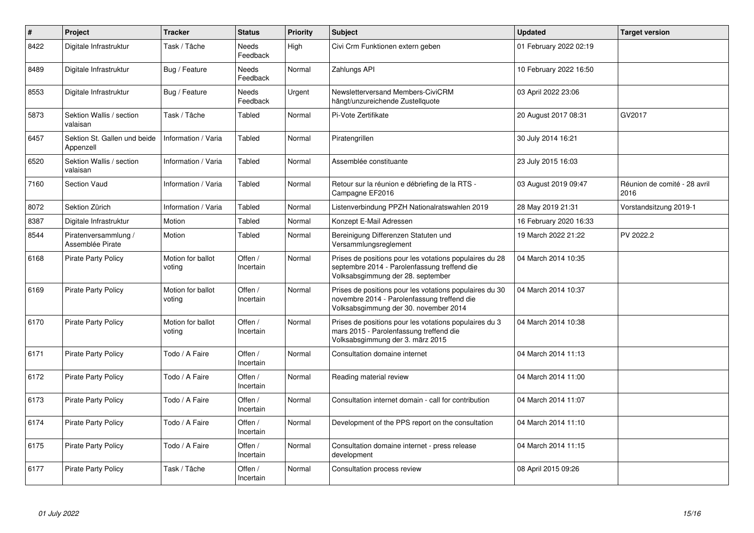| $\#$ | Project                                   | <b>Tracker</b>              | <b>Status</b>        | <b>Priority</b> | <b>Subject</b>                                                                                                                                  | <b>Updated</b>         | <b>Target version</b>                |
|------|-------------------------------------------|-----------------------------|----------------------|-----------------|-------------------------------------------------------------------------------------------------------------------------------------------------|------------------------|--------------------------------------|
| 8422 | Digitale Infrastruktur                    | Task / Tâche                | Needs<br>Feedback    | High            | Civi Crm Funktionen extern geben                                                                                                                | 01 February 2022 02:19 |                                      |
| 8489 | Digitale Infrastruktur                    | Bug / Feature               | Needs<br>Feedback    | Normal          | Zahlungs API                                                                                                                                    | 10 February 2022 16:50 |                                      |
| 8553 | Digitale Infrastruktur                    | Bug / Feature               | Needs<br>Feedback    | Urgent          | Newsletterversand Members-CiviCRM<br>hängt/unzureichende Zustellquote                                                                           | 03 April 2022 23:06    |                                      |
| 5873 | Sektion Wallis / section<br>valaisan      | Task / Tâche                | Tabled               | Normal          | Pi-Vote Zertifikate                                                                                                                             | 20 August 2017 08:31   | GV2017                               |
| 6457 | Sektion St. Gallen und beide<br>Appenzell | Information / Varia         | Tabled               | Normal          | Piratengrillen                                                                                                                                  | 30 July 2014 16:21     |                                      |
| 6520 | Sektion Wallis / section<br>valaisan      | Information / Varia         | Tabled               | Normal          | Assemblée constituante                                                                                                                          | 23 July 2015 16:03     |                                      |
| 7160 | Section Vaud                              | Information / Varia         | Tabled               | Normal          | Retour sur la réunion e débriefing de la RTS -<br>Campagne EF2016                                                                               | 03 August 2019 09:47   | Réunion de comité - 28 avril<br>2016 |
| 8072 | Sektion Zürich                            | Information / Varia         | Tabled               | Normal          | Listenverbindung PPZH Nationalratswahlen 2019                                                                                                   | 28 May 2019 21:31      | Vorstandsitzung 2019-1               |
| 8387 | Digitale Infrastruktur                    | Motion                      | Tabled               | Normal          | Konzept E-Mail Adressen                                                                                                                         | 16 February 2020 16:33 |                                      |
| 8544 | Piratenversammlung /<br>Assemblée Pirate  | Motion                      | Tabled               | Normal          | Bereinigung Differenzen Statuten und<br>Versammlungsreglement                                                                                   | 19 March 2022 21:22    | PV 2022.2                            |
| 6168 | <b>Pirate Party Policy</b>                | Motion for ballot<br>voting | Offen /<br>Incertain | Normal          | Prises de positions pour les votations populaires du 28<br>septembre 2014 - Parolenfassung treffend die<br>Volksabsgimmung der 28. september    | 04 March 2014 10:35    |                                      |
| 6169 | <b>Pirate Party Policy</b>                | Motion for ballot<br>voting | Offen /<br>Incertain | Normal          | Prises de positions pour les votations populaires du 30<br>novembre 2014 - Parolenfassung treffend die<br>Volksabsgimmung der 30. november 2014 | 04 March 2014 10:37    |                                      |
| 6170 | <b>Pirate Party Policy</b>                | Motion for ballot<br>voting | Offen /<br>Incertain | Normal          | Prises de positions pour les votations populaires du 3<br>mars 2015 - Parolenfassung treffend die<br>Volksabsgimmung der 3. märz 2015           | 04 March 2014 10:38    |                                      |
| 6171 | <b>Pirate Party Policy</b>                | Todo / A Faire              | Offen /<br>Incertain | Normal          | Consultation domaine internet                                                                                                                   | 04 March 2014 11:13    |                                      |
| 6172 | <b>Pirate Party Policy</b>                | Todo / A Faire              | Offen /<br>Incertain | Normal          | Reading material review                                                                                                                         | 04 March 2014 11:00    |                                      |
| 6173 | <b>Pirate Party Policy</b>                | Todo / A Faire              | Offen /<br>Incertain | Normal          | Consultation internet domain - call for contribution                                                                                            | 04 March 2014 11:07    |                                      |
| 6174 | <b>Pirate Party Policy</b>                | Todo / A Faire              | Offen /<br>Incertain | Normal          | Development of the PPS report on the consultation                                                                                               | 04 March 2014 11:10    |                                      |
| 6175 | <b>Pirate Party Policy</b>                | Todo / A Faire              | Offen /<br>Incertain | Normal          | Consultation domaine internet - press release<br>development                                                                                    | 04 March 2014 11:15    |                                      |
| 6177 | <b>Pirate Party Policy</b>                | Task / Tâche                | Offen /<br>Incertain | Normal          | Consultation process review                                                                                                                     | 08 April 2015 09:26    |                                      |